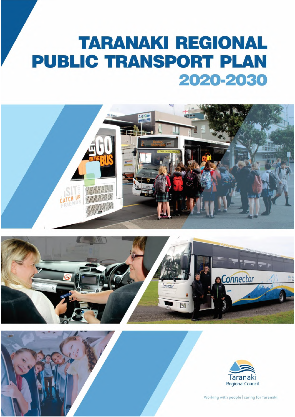# **TARANAKI REGIONAL PUBLIC TRANSPORT PLAN** 2020-2030









Working with people | caring for Taranaki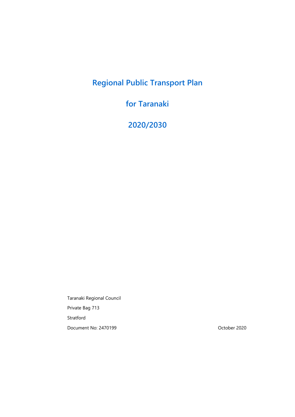# **Regional Public Transport Plan**

# **for Taranaki**

**2020/2030**

Taranaki Regional Council Private Bag 713 Stratford Document No: 2470199 October 2020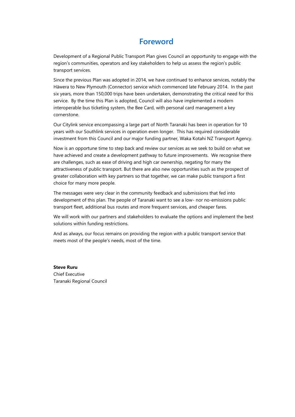# **Foreword**

Development of a Regional Public Transport Plan gives Council an opportunity to engage with the region's communities, operators and key stakeholders to help us assess the region's public transport services.

Since the previous Plan was adopted in 2014, we have continued to enhance services, notably the Hāwera to New Plymouth (Connector) service which commenced late February 2014. In the past six years, more than 150,000 trips have been undertaken, demonstrating the critical need for this service. By the time this Plan is adopted, Council will also have implemented a modern interoperable bus ticketing system, the Bee Card, with personal card management a key cornerstone.

Our Citylink service encompassing a large part of North Taranaki has been in operation for 10 years with our Southlink services in operation even longer. This has required considerable investment from this Council and our major funding partner, Waka Kotahi NZ Transport Agency.

Now is an opportune time to step back and review our services as we seek to build on what we have achieved and create a development pathway to future improvements. We recognise there are challenges, such as ease of driving and high car ownership, negating for many the attractiveness of public transport. But there are also new opportunities such as the prospect of greater collaboration with key partners so that together, we can make public transport a first choice for many more people.

The messages were very clear in the community feedback and submissions that fed into development of this plan. The people of Taranaki want to see a low- nor no-emissions public transport fleet, additional bus routes and more frequent services, and cheaper fares.

We will work with our partners and stakeholders to evaluate the options and implement the best solutions within funding restrictions.

And as always, our focus remains on providing the region with a public transport service that meets most of the people's needs, most of the time.

**Steve Ruru** Chief Executive Taranaki Regional Council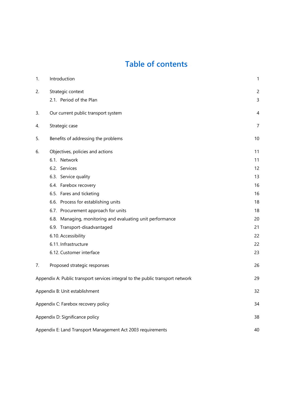# **Table of contents**

| 1. | Introduction                                                                   | 1              |
|----|--------------------------------------------------------------------------------|----------------|
| 2. | Strategic context                                                              | $\overline{c}$ |
|    | 2.1. Period of the Plan                                                        | 3              |
| 3. | Our current public transport system                                            | 4              |
| 4. | Strategic case                                                                 | $\overline{7}$ |
| 5. | Benefits of addressing the problems                                            | 10             |
| 6. | Objectives, policies and actions                                               | 11             |
|    | 6.1. Network                                                                   | 11             |
|    | 6.2. Services                                                                  | 12             |
|    | 6.3. Service quality                                                           | 13             |
|    | 6.4. Farebox recovery                                                          | 16             |
|    | 6.5. Fares and ticketing                                                       | 16             |
|    | 6.6. Process for establishing units                                            | 18             |
|    | 6.7. Procurement approach for units                                            | 18             |
|    | 6.8. Managing, monitoring and evaluating unit performance                      | 20             |
|    | 6.9. Transport-disadvantaged                                                   | 21             |
|    | 6.10. Accessibility                                                            | 22             |
|    | 6.11. Infrastructure                                                           | 22             |
|    | 6.12. Customer interface                                                       | 23             |
| 7. | Proposed strategic responses                                                   | 26             |
|    | Appendix A: Public transport services integral to the public transport network | 29             |
|    | Appendix B: Unit establishment                                                 | 32             |
|    | Appendix C: Farebox recovery policy                                            | 34             |
|    | Appendix D: Significance policy                                                | 38             |
|    | Appendix E: Land Transport Management Act 2003 requirements                    | 40             |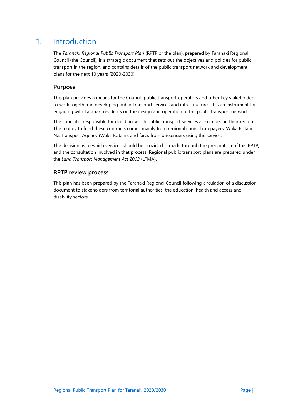# <span id="page-7-0"></span>1. Introduction

The *Taranaki Regional Public Transport Plan* (RPTP or the plan), prepared by Taranaki Regional Council (the Council), is a strategic document that sets out the objectives and policies for public transport in the region, and contains details of the public transport network and development plans for the next 10 years (2020-2030).

#### **Purpose**

This plan provides a means for the Council, public transport operators and other key stakeholders to work together in developing public transport services and infrastructure. It is an instrument for engaging with Taranaki residents on the design and operation of the public transport network.

The council is responsible for deciding which public transport services are needed in their region. The money to fund these contracts comes mainly from regional council ratepayers, Waka Kotahi NZ Transport Agency (Waka Kotahi), and fares from passengers using the service.

The decision as to which services should be provided is made through the preparation of this RPTP, and the consultation involved in that process. Regional public transport plans are prepared under the *Land Transport Management Act 2003* (LTMA).

#### **RPTP review process**

This plan has been prepared by the Taranaki Regional Council following circulation of a discussion document to stakeholders from territorial authorities, the education, health and access and disability sectors.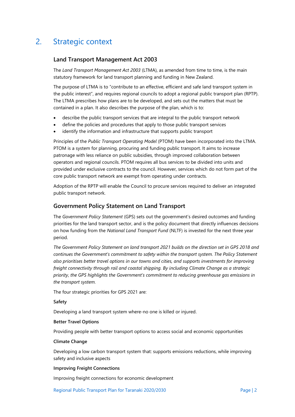# <span id="page-8-0"></span>2. Strategic context

#### **Land Transport Management Act 2003**

The *Land Transport Management Act 2003* (LTMA), as amended from time to time, is the main statutory framework for land transport planning and funding in New Zealand.

The purpose of LTMA is to "contribute to an effective, efficient and safe land transport system in the public interest", and requires regional councils to adopt a regional public transport plan (RPTP). The LTMA prescribes how plans are to be developed, and sets out the matters that must be contained in a plan. It also describes the purpose of the plan, which is to:

- describe the public transport services that are integral to the public transport network
- define the policies and procedures that apply to those public transport services
- identify the information and infrastructure that supports public transport

Principles of the *Public Transport Operating Model* (PTOM) have been incorporated into the LTMA. PTOM is a system for planning, procuring and funding public transport. It aims to increase patronage with less reliance on public subsidies, through improved collaboration between operators and regional councils. PTOM requires all bus services to be divided into units and provided under exclusive contracts to the council. However, services which do not form part of the core public transport network are exempt from operating under contracts.

Adoption of the RPTP will enable the Council to procure services required to deliver an integrated public transport network.

#### **Government Policy Statement on Land Transport**

The *Government Policy Statement* (GPS) sets out the government's desired outcomes and funding priorities for the land transport sector, and is the policy document that directly influences decisions on how funding from the *National Land Transport Fund* (NLTF) is invested for the next three year period.

*The Government Policy Statement on land transport 2021 builds on the direction set in GPS 2018 and continues the Government's commitment to safety within the transport system. The Policy Statement also prioritises better travel options in our towns and cities, and supports investments for improving freight connectivity through rail and coastal shipping. By including Climate Change as a strategic priority, the GPS highlights the Government's commitment to reducing greenhouse gas emissions in the transport system.*

The four strategic priorities for GPS 2021 are:

#### **Safety**

Developing a land transport system where-no one is killed or injured.

#### **Better Travel Options**

Providing people with better transport options to access social and economic opportunities

#### **Climate Change**

Developing a low carbon transport system that: supports emissions reductions, while improving safety and inclusive aspects

#### **Improving Freight Connections**

Improving freight connections for economic development

Regional Public Transport Plan for Taranaki 2020/2030 Page | 2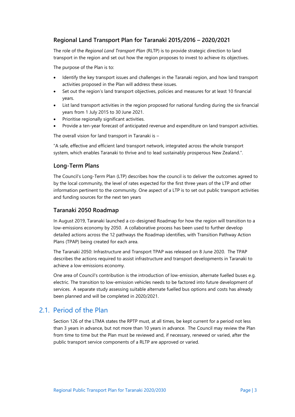#### **Regional Land Transport Plan for Taranaki 2015/2016 – 2020/2021**

The role of the *Regional Land Transport Plan* (RLTP) is to provide strategic direction to land transport in the region and set out how the region proposes to invest to achieve its objectives.

The purpose of the Plan is to:

- Identify the key transport issues and challenges in the Taranaki region, and how land transport activities proposed in the Plan will address these issues.
- Set out the region's land transport objectives, policies and measures for at least 10 financial years.
- List land transport activities in the region proposed for national funding during the six financial years from 1 July 2015 to 30 June 2021.
- Prioritise regionally significant activities.
- Provide a ten-year forecast of anticipated revenue and expenditure on land transport activities.

The overall vision for land transport in Taranaki is –

"A safe, effective and efficient land transport network, integrated across the whole transport system, which enables Taranaki to thrive and to lead sustainably prosperous New Zealand.".

#### **Long-Term Plans**

The Council's Long-Term Plan (LTP) describes how the council is to deliver the outcomes agreed to by the local community, the level of rates expected for the first three years of the LTP and other information pertinent to the community. One aspect of a LTP is to set out public transport activities and funding sources for the next ten years

#### **Taranaki 2050 Roadmap**

In August 2019, Taranaki launched a co-designed Roadmap for how the region will transition to a low-emissions economy by 2050. A collaborative process has been used to further develop detailed actions across the 12 pathways the Roadmap identifies, with Transition Pathway Action Plans (TPAP) being created for each area.

The Taranaki 2050: Infrastructure and Transport TPAP was released on 8 June 2020. The TPAP describes the actions required to assist infrastructure and transport developments in Taranaki to achieve a low-emissions economy.

One area of Council's contribution is the introduction of low-emission, alternate fuelled buses e.g. electric. The transition to low-emission vehicles needs to be factored into future development of services. A separate study assessing suitable alternate fuelled bus options and costs has already been planned and will be completed in 2020/2021.

### <span id="page-9-0"></span>2.1. Period of the Plan

Section 126 of the LTMA states the RPTP must, at all times, be kept current for a period not less than 3 years in advance, but not more than 10 years in advance. The Council may review the Plan from time to time but the Plan must be reviewed and, if necessary, renewed or varied, after the public transport service components of a RLTP are approved or varied.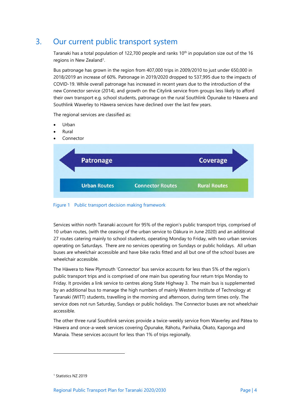# <span id="page-10-0"></span>3. Our current public transport system

Taranaki has a total population of 122,700 people and ranks 10<sup>th</sup> in population size out of the 16 regions in New Zealand<sup>1</sup>.

Bus patronage has grown in the region from 407,000 trips in 2009/2010 to just under 650,000 in 2018/2019 an increase of 60%. Patronage in 2019/2020 dropped to 537,995 due to the impacts of COVID-19. While overall patronage has increased in recent years due to the introduction of the new Connector service (2014), and growth on the Citylink service from groups less likely to afford their own transport e.g. school students, patronage on the rural Southlink Ōpunake to Hāwera and Southlink Waverley to Hāwera services have declined over the last few years.

The regional services are classified as:

- Urban
- Rural
- Connector



Figure 1 Public transport decision making framework

Services within north Taranaki account for 95% of the region's public transport trips, comprised of 10 urban routes, (with the ceasing of the urban service to Oākura in June 2020) and an additional 27 routes catering mainly to school students, operating Monday to Friday, with two urban services operating on Saturdays. There are no services operating on Sundays or public holidays. All urban buses are wheelchair accessible and have bike racks fitted and all but one of the school buses are wheelchair accessible.

The Hāwera to New Plymouth 'Connector' bus service accounts for less than 5% of the region's public transport trips and is comprised of one main bus operating four return trips Monday to Friday. It provides a link service to centres along State Highway 3. The main bus is supplemented by an additional bus to manage the high numbers of mainly Western Institute of Technology at Taranaki (WITT) students, travelling in the morning and afternoon, during term times only. The service does not run Saturday, Sundays or public holidays. The Connector buses are not wheelchair accessible.

The other three rural Southlink services provide a twice-weekly service from Waverley and Pātea to Hāwera and once-a-week services covering Ōpunake, Rāhotu, Parihaka, Ōkato, Kaponga and Manaia. These services account for less than 1% of trips regionally.

-

<sup>&</sup>lt;sup>1</sup> Statistics NZ 2019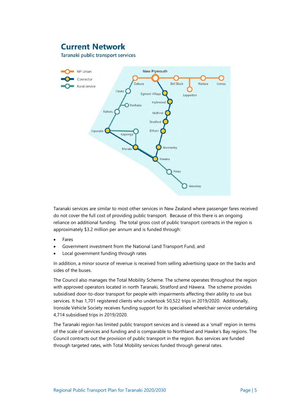# **Current Network**

Taranaki public transport services



Taranaki services are similar to most other services in New Zealand where passenger fares received do not cover the full cost of providing public transport. Because of this there is an ongoing reliance on additional funding. The total gross cost of public transport contracts in the region is approximately \$3.2 million per annum and is funded through:

- Fares
- Government investment from the National Land Transport Fund, and
- Local government funding through rates

In addition, a minor source of revenue is received from selling advertising space on the backs and sides of the buses.

The Council also manages the Total Mobility Scheme. The scheme operates throughout the region with approved operators located in north Taranaki, Stratford and Hāwera. The scheme provides subsidised door-to-door transport for people with impairments affecting their ability to use bus services. It has 1,701 registered clients who undertook 50,522 trips in 2019/2020. Additionally, Ironside Vehicle Society receives funding support for its specialised wheelchair service undertaking 4,714 subsidised trips in 2019/2020.

The Taranaki region has limited public transport services and is viewed as a 'small' region in terms of the scale of services and funding and is comparable to Northland and Hawke's Bay regions. The Council contracts out the provision of public transport in the region. Bus services are funded through targeted rates, with Total Mobility services funded through general rates.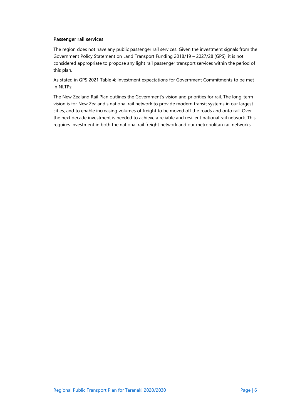#### **Passenger rail services**

The region does not have any public passenger rail services. Given the investment signals from the Government Policy Statement on Land Transport Funding 2018/19 – 2027/28 (GPS), it is not considered appropriate to propose any light rail passenger transport services within the period of this plan.

As stated in GPS 2021 Table 4: Investment expectations for Government Commitments to be met in NLTPs:

The New Zealand Rail Plan outlines the Government's vision and priorities for rail. The long-term vision is for New Zealand's national rail network to provide modern transit systems in our largest cities, and to enable increasing volumes of freight to be moved off the roads and onto rail. Over the next decade investment is needed to achieve a reliable and resilient national rail network. This requires investment in both the national rail freight network and our metropolitan rail networks.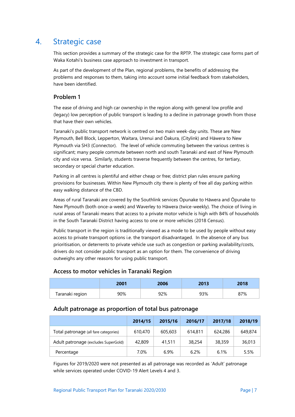# <span id="page-13-0"></span>4. Strategic case

This section provides a summary of the strategic case for the RPTP. The strategic case forms part of Waka Kotahi's business case approach to investment in transport.

As part of the development of the Plan, regional problems, the benefits of addressing the problems and responses to them, taking into account some initial feedback from stakeholders, have been identified.

#### **Problem 1**

The ease of driving and high car ownership in the region along with general low profile and (legacy) low perception of public transport is leading to a decline in patronage growth from those that have their own vehicles.

Taranaki's public transport network is centred on two main week-day units. These are New Plymouth, Bell Block, Lepperton, Waitara, Urenui and Ōakura, (Citylink) and Hāwera to New Plymouth via SH3 (Connector). The level of vehicle commuting between the various centres is significant; many people commute between north and south Taranaki and east of New Plymouth city and vice versa. Similarly, students traverse frequently between the centres, for tertiary, secondary or special charter education.

Parking in all centres is plentiful and either cheap or free; district plan rules ensure parking provisions for businesses. Within New Plymouth city there is plenty of free all day parking within easy walking distance of the CBD.

Areas of rural Taranaki are covered by the Southlink services Ōpunake to Hāwera and Ōpunake to New Plymouth (both once-a-week) and Waverley to Hāwera (twice-weekly). The choice of living in rural areas of Taranaki means that access to a private motor vehicle is high with 84% of households in the South Taranaki District having access to one or more vehicles (2018 Census).

Public transport in the region is traditionally viewed as a mode to be used by people without easy access to private transport options i.e. the transport disadvantaged. In the absence of any bus prioritisation, or deterrents to private vehicle use such as congestion or parking availability/costs, drivers do not consider public transport as an option for them. The convenience of driving outweighs any other reasons for using public transport.

#### **Access to motor vehicles in Taranaki Region**

|                 | 2001 | 2006 | 2013 | 2018 |
|-----------------|------|------|------|------|
| Taranaki region | 90%  | 92%  | 93%  | 87%  |

#### **Adult patronage as proportion of total bus patronage**

|                                       | 2014/15 | 2015/16 | 2016/17 | 2017/18 | 2018/19 |
|---------------------------------------|---------|---------|---------|---------|---------|
| Total patronage (all fare categories) | 610,470 | 605,603 | 614,811 | 624,286 | 649,874 |
| Adult patronage (excludes SuperGold)  | 42,809  | 41,511  | 38,254  | 38,359  | 36,013  |
| Percentage                            | 7.0%    | 6.9%    | 6.2%    | 6.1%    | 5.5%    |

Figures for 2019/2020 were not presented as all patronage was recorded as 'Adult' patronage while services operated under COVID-19 Alert Levels 4 and 3.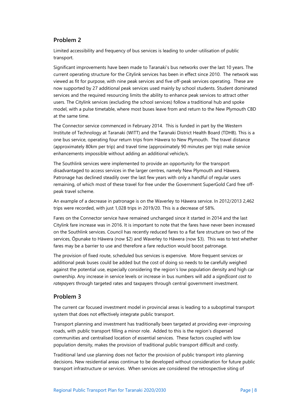#### **Problem 2**

Limited accessibility and frequency of bus services is leading to under-utilisation of public transport.

Significant improvements have been made to Taranaki's bus networks over the last 10 years. The current operating structure for the Citylink services has been in effect since 2010. The network was viewed as fit for purpose, with nine peak services and five off-peak services operating. These are now supported by 27 additional peak services used mainly by school students. Student dominated services and the required resourcing limits the ability to enhance peak services to attract other users. The Citylink services (excluding the school services) follow a traditional hub and spoke model, with a pulse timetable, where most buses leave from and return to the New Plymouth CBD at the same time.

The Connector service commenced in February 2014. This is funded in part by the Western Institute of Technology at Taranaki (WITT) and the Taranaki District Health Board (TDHB). This is a one bus service, operating four return trips from Hāwera to New Plymouth. The travel distance (approximately 80km per trip) and travel time (approximately 90 minutes per trip) make service enhancements impossible without adding an additional vehicle/s.

The Southlink services were implemented to provide an opportunity for the transport disadvantaged to access services in the larger centres, namely New Plymouth and Hāwera. Patronage has declined steadily over the last few years with only a handful of regular users remaining, of which most of these travel for free under the Government SuperGold Card free offpeak travel scheme.

An example of a decrease in patronage is on the Waverley to Hāwera service. In 2012/2013 2,462 trips were recorded, with just 1,028 trips in 2019/20. This is a decrease of 58%.

Fares on the Connector service have remained unchanged since it started in 2014 and the last Citylink fare increase was in 2016. It is important to note that the fares have never been increased on the Southlink services. Council has recently reduced fares to a flat fare structure on two of the services, Ōpunake to Hāwera (now \$2) and Waverley to Hāwera (now \$3). This was to test whether fares may be a barrier to use and therefore a fare reduction would boost patronage.

The provision of fixed route, scheduled bus services is expensive. More frequent services or additional peak buses could be added but the cost of doing so needs to be carefully weighed against the potential use, especially considering the region's low population density and high car ownership. Any increase in service levels or increase in bus numbers will add a *significant cost to ratepayers* through targeted rates and taxpayers through central government investment.

#### **Problem 3**

The current car focused investment model in provincial areas is leading to a suboptimal transport system that does not effectively integrate public transport.

Transport planning and investment has traditionally been targeted at providing ever-improving roads, with public transport filling a minor role. Added to this is the region's dispersed communities and centralised location of essential services. These factors coupled with low population density, makes the provision of traditional public transport difficult and costly.

Traditional land use planning does not factor the provision of public transport into planning decisions. New residential areas continue to be developed without consideration for future public transport infrastructure or services. When services are considered the retrospective siting of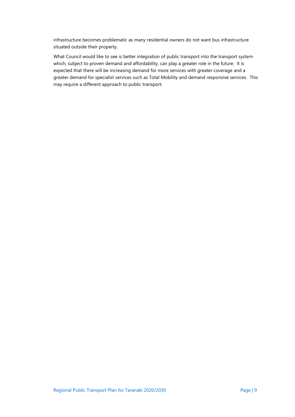infrastructure becomes problematic as many residential owners do not want bus infrastructure situated outside their property.

What Council would like to see is better integration of public transport into the transport system which, subject to proven demand and affordability, can play a greater role in the future. It is expected that there will be increasing demand for more services with greater coverage and a greater demand for specialist services such as Total Mobility and demand responsive services. This may require a different approach to public transport.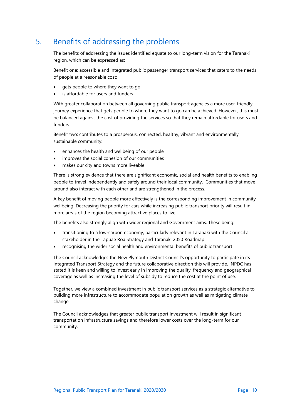# <span id="page-16-0"></span>5. Benefits of addressing the problems

The benefits of addressing the issues identified equate to our long-term vision for the Taranaki region, which can be expressed as:

Benefit one: accessible and integrated public passenger transport services that caters to the needs of people at a reasonable cost:

- gets people to where they want to go
- is affordable for users and funders

With greater collaboration between all governing public transport agencies a more user-friendly journey experience that gets people to where they want to go can be achieved. However, this must be balanced against the cost of providing the services so that they remain affordable for users and funders.

Benefit two: contributes to a prosperous, connected, healthy, vibrant and environmentally sustainable community:

- enhances the health and wellbeing of our people
- improves the social cohesion of our communities
- makes our city and towns more liveable

There is strong evidence that there are significant economic, social and health benefits to enabling people to travel independently and safely around their local community. Communities that move around also interact with each other and are strengthened in the process.

A key benefit of moving people more effectively is the corresponding improvement in community wellbeing. Decreasing the priority for cars while increasing public transport priority will result in more areas of the region becoming attractive places to live.

The benefits also strongly align with wider regional and Government aims. These being:

- transitioning to a low-carbon economy, particularly relevant in Taranaki with the Council a stakeholder in the Tapuae Roa Strategy and Taranaki 2050 Roadmap
- recognising the wider social health and environmental benefits of public transport

The Council acknowledges the New Plymouth District Council's opportunity to participate in its Integrated Transport Strategy and the future collaborative direction this will provide. NPDC has stated it is keen and willing to invest early in improving the quality, frequency and geographical coverage as well as increasing the level of subsidy to reduce the cost at the point of use.

Together, we view a combined investment in public transport services as a strategic alternative to building more infrastructure to accommodate population growth as well as mitigating climate change.

The Council acknowledges that greater public transport investment will result in significant transportation infrastructure savings and therefore lower costs over the long-term for our community.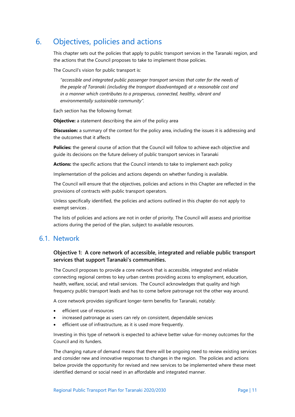# <span id="page-17-0"></span>6. Objectives, policies and actions

This chapter sets out the policies that apply to public transport services in the Taranaki region, and the actions that the Council proposes to take to implement those policies.

The Council's vision for public transport is:

*"accessible and integrated public passenger transport services that cater for the needs of the people of Taranaki (including the transport disadvantaged) at a reasonable cost and in a manner which contributes to a prosperous, connected, healthy, vibrant and environmentally sustainable community".*

Each section has the following format:

**Objective:** a statement describing the aim of the policy area

**Discussion:** a summary of the context for the policy area, including the issues it is addressing and the outcomes that it affects

**Policies:** the general course of action that the Council will follow to achieve each objective and guide its decisions on the future delivery of public transport services in Taranaki

**Actions:** the specific actions that the Council intends to take to implement each policy

Implementation of the policies and actions depends on whether funding is available.

The Council will ensure that the objectives, policies and actions in this Chapter are reflected in the provisions of contracts with public transport operators.

Unless specifically identified, the policies and actions outlined in this chapter do not apply to exempt services .

The lists of policies and actions are not in order of priority. The Council will assess and prioritise actions during the period of the plan, subject to available resources.

### <span id="page-17-1"></span>6.1. Network

#### **Objective 1: A core network of accessible, integrated and reliable public transport services that support Taranaki's communities.**

The Council proposes to provide a core network that is accessible, integrated and reliable connecting regional centres to key urban centres providing access to employment, education, health, welfare, social, and retail services. The Council acknowledges that quality and high frequency public transport leads and has to come before patronage not the other way around.

A core network provides significant longer-term benefits for Taranaki, notably:

- efficient use of resources
- increased patronage as users can rely on consistent, dependable services
- efficient use of infrastructure, as it is used more frequently.

Investing in this type of network is expected to achieve better value-for-money outcomes for the Council and its funders.

The changing nature of demand means that there will be ongoing need to review existing services and consider new and innovative responses to changes in the region. The policies and actions below provide the opportunity for revised and new services to be implemented where these meet identified demand or social need in an affordable and integrated manner.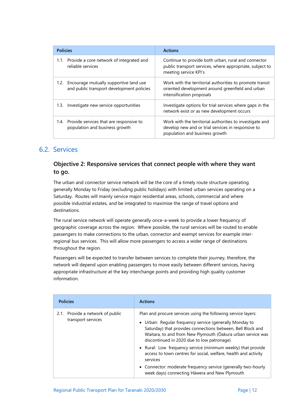| <b>Policies</b>                                                                | <b>Actions</b>                                                                                                                                   |
|--------------------------------------------------------------------------------|--------------------------------------------------------------------------------------------------------------------------------------------------|
| Provide a core network of integrated and                                       | Continue to provide both urban, rural and connector                                                                                              |
| 1.1.                                                                           | public transport services, where appropriate, subject to                                                                                         |
| reliable services                                                              | meeting service KPI's                                                                                                                            |
| Encourage mutually supportive land use                                         | Work with the territorial authorities to promote transit                                                                                         |
| 1.2.                                                                           | oriented development around greenfield and urban                                                                                                 |
| and public transport development policies                                      | intensification proposals                                                                                                                        |
| Investigate new service opportunities                                          | Investigate options for trial services where gaps in the                                                                                         |
| 1.3.                                                                           | network exist or as new development occurs                                                                                                       |
| 1.4. Provide services that are responsive to<br>population and business growth | Work with the territorial authorities to investigate and<br>develop new and or trial services in responsive to<br>population and business growth |

### <span id="page-18-0"></span>6.2. Services

### **Objective 2: Responsive services that connect people with where they want to go.**

The urban and connector service network will be the core of a timely route structure operating generally Monday to Friday (excluding public holidays) with limited urban services operating on a Saturday. Routes will mainly service major residential areas, schools, commercial and where possible industrial estates, and be integrated to maximise the range of travel options and destinations.

The rural service network will operate generally once-a-week to provide a lower frequency of geographic coverage across the region. Where possible, the rural services will be routed to enable passengers to make connections to the urban, connector and exempt services for example interregional bus services. This will allow more passengers to access a wider range of destinations throughout the region.

Passengers will be expected to transfer between services to complete their journey, therefore, the network will depend upon enabling passengers to move easily between different services, having appropriate infrastructure at the key interchange points and providing high quality customer information.

| <b>Policies</b>                                        | <b>Actions</b>                                                                                                                                                                                                                                                                                       |
|--------------------------------------------------------|------------------------------------------------------------------------------------------------------------------------------------------------------------------------------------------------------------------------------------------------------------------------------------------------------|
| 2.1. Provide a network of public<br>transport services | Plan and procure services using the following service layers:<br>• Urban: Regular frequency service (generally Monday to<br>Saturday) that provides connections between, Bell Block and<br>Waitara, to and from New Plymouth (Oakura urban service was<br>discontinued in 2020 due to low patronage) |
|                                                        | • Rural: Low frequency service (minimum weekly) that provide<br>access to town centres for social, welfare, health and activity<br>services                                                                                                                                                          |
|                                                        | • Connector: moderate frequency service (generally two-hourly<br>week days) connecting Hāwera and New Plymouth                                                                                                                                                                                       |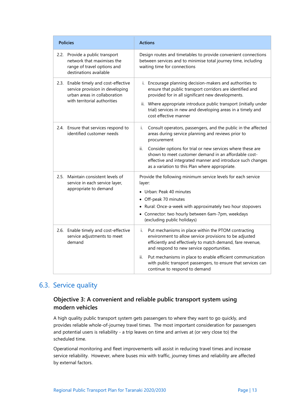| <b>Policies</b>                                                                                                                          | <b>Actions</b>                                                                                                                                                                                                                                                                                                                                                                                       |
|------------------------------------------------------------------------------------------------------------------------------------------|------------------------------------------------------------------------------------------------------------------------------------------------------------------------------------------------------------------------------------------------------------------------------------------------------------------------------------------------------------------------------------------------------|
| 2.2. Provide a public transport<br>network that maximises the<br>range of travel options and<br>destinations available                   | Design routes and timetables to provide convenient connections<br>between services and to minimise total journey time, including<br>waiting time for connections                                                                                                                                                                                                                                     |
| 2.3. Enable timely and cost-effective<br>service provision in developing<br>urban areas in collaboration<br>with territorial authorities | i. Encourage planning decision-makers and authorities to<br>ensure that public transport corridors are identified and<br>provided for in all significant new developments.<br>ii. Where appropriate introduce public transport (initially under<br>trial) services in new and developing areas in a timely and<br>cost effective manner                                                              |
| 2.4. Ensure that services respond to<br>identified customer needs                                                                        | Consult operators, passengers, and the public in the affected<br>i.<br>areas during service planning and reviews prior to<br>procurement<br>Consider options for trial or new services where these are<br>ii.<br>shown to meet customer demand in an affordable cost-<br>effective and integrated manner and introduce such changes<br>as a variation to this Plan where appropriate.                |
| Maintain consistent levels of<br>2.5.<br>service in each service layer,<br>appropriate to demand                                         | Provide the following minimum service levels for each service<br>layer:<br>• Urban: Peak 40 minutes<br>Off-peak 70 minutes<br>• Rural: Once-a-week with approximately two hour stopovers<br>• Connector: two hourly between 6am-7pm, weekdays<br>(excluding public holidays)                                                                                                                         |
| 2.6. Enable timely and cost-effective<br>service adjustments to meet<br>demand                                                           | Put mechanisms in place within the PTOM contracting<br>i.<br>environment to allow service provisions to be adjusted<br>efficiently and effectively to match demand, fare revenue,<br>and respond to new service opportunities.<br>Put mechanisms in place to enable efficient communication<br>ii.<br>with public transport passengers, to ensure that services can<br>continue to respond to demand |

# <span id="page-19-0"></span>6.3. Service quality

### **Objective 3: A convenient and reliable public transport system using modern vehicles**

A high quality public transport system gets passengers to where they want to go quickly, and provides reliable whole-of-journey travel times. The most important consideration for passengers and potential users is reliability - a trip leaves on time and arrives at (or very close to) the scheduled time.

Operational monitoring and fleet improvements will assist in reducing travel times and increase service reliability. However, where buses mix with traffic, journey times and reliability are affected by external factors.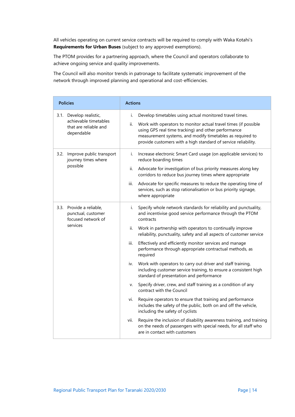All vehicles operating on current service contracts will be required to comply with Waka Kotahi's **Requirements for Urban Buses** (subject to any approved exemptions).

The PTOM provides for a partnering approach, where the Council and operators collaborate to achieve ongoing service and quality improvements.

The Council will also monitor trends in patronage to facilitate systematic improvement of the network through improved planning and operational and cost-efficiencies.

| <b>Policies</b>                                                                         | <b>Actions</b>                                                                                                                                                                                                                                                                                                                                                                                                                                                                                                                                                                                                                                                                                                                                                                                                                                                                                                                                                                                                                                                                                    |
|-----------------------------------------------------------------------------------------|---------------------------------------------------------------------------------------------------------------------------------------------------------------------------------------------------------------------------------------------------------------------------------------------------------------------------------------------------------------------------------------------------------------------------------------------------------------------------------------------------------------------------------------------------------------------------------------------------------------------------------------------------------------------------------------------------------------------------------------------------------------------------------------------------------------------------------------------------------------------------------------------------------------------------------------------------------------------------------------------------------------------------------------------------------------------------------------------------|
| 3.1. Develop realistic,<br>achievable timetables<br>that are reliable and<br>dependable | Develop timetables using actual monitored travel times.<br>i.<br>Work with operators to monitor actual travel times (if possible<br>ii.<br>using GPS real time tracking) and other performance<br>measurement systems, and modify timetables as required to<br>provide customers with a high standard of service reliability.                                                                                                                                                                                                                                                                                                                                                                                                                                                                                                                                                                                                                                                                                                                                                                     |
| 3.2. Improve public transport<br>journey times where<br>possible                        | Increase electronic Smart Card usage (on applicable services) to<br>i.<br>reduce boarding times<br>Advocate for investigation of bus priority measures along key<br>ii.<br>corridors to reduce bus journey times where appropriate<br>Advocate for specific measures to reduce the operating time of<br>iii.<br>services, such as stop rationalisation or bus priority signage,<br>where appropriate                                                                                                                                                                                                                                                                                                                                                                                                                                                                                                                                                                                                                                                                                              |
| 3.3. Provide a reliable,<br>punctual, customer<br>focused network of<br>services        | Specify whole network standards for reliability and punctuality,<br>i.<br>and incentivise good service performance through the PTOM<br>contracts<br>Work in partnership with operators to continually improve<br>ii.<br>reliability, punctuality, safety and all aspects of customer service<br>Effectively and efficiently monitor services and manage<br>iii.<br>performance through appropriate contractual methods, as<br>required<br>Work with operators to carry out driver and staff training,<br>iv.<br>including customer service training, to ensure a consistent high<br>standard of presentation and performance<br>Specify driver, crew, and staff training as a condition of any<br>V.<br>contract with the Council<br>Require operators to ensure that training and performance<br>vi.<br>includes the safety of the public, both on and off the vehicle,<br>including the safety of cyclists<br>Require the inclusion of disability awareness training, and training<br>vii.<br>on the needs of passengers with special needs, for all staff who<br>are in contact with customers |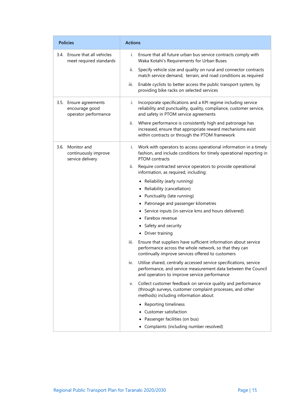| <b>Policies</b>                                                  | <b>Actions</b>                                                                                                                                                                             |
|------------------------------------------------------------------|--------------------------------------------------------------------------------------------------------------------------------------------------------------------------------------------|
| 3.4. Ensure that all vehicles<br>meet required standards         | i.<br>Ensure that all future urban bus service contracts comply with<br>Waka Kotahi's Requirements for Urban Buses                                                                         |
|                                                                  | Specify vehicle size and quality on rural and connector contracts<br>ii.<br>match service demand, terrain, and road conditions as required                                                 |
|                                                                  | iii.<br>Enable cyclists to better access the public transport system, by<br>providing bike racks on selected services                                                                      |
| 3.5. Ensure agreements<br>encourage good<br>operator performance | Incorporate specifications and a KPI regime including service<br>i.<br>reliability and punctuality, quality, compliance, customer service,<br>and safety in PTOM service agreements        |
|                                                                  | Where performance is consistently high and patronage has<br>ii.<br>increased, ensure that appropriate reward mechanisms exist<br>within contracts or through the PTOM framework            |
| 3.6. Monitor and<br>continuously improve<br>service delivery     | i. Work with operators to access operational information in a timely<br>fashion, and include conditions for timely operational reporting in<br>PTOM contracts                              |
|                                                                  | Require contracted service operators to provide operational<br>ii.<br>information, as required, including:                                                                                 |
|                                                                  | • Reliability (early running)                                                                                                                                                              |
|                                                                  | • Reliability (cancellation)                                                                                                                                                               |
|                                                                  | • Punctuality (late running)                                                                                                                                                               |
|                                                                  | • Patronage and passenger kilometres                                                                                                                                                       |
|                                                                  | • Service inputs (in-service kms and hours delivered)                                                                                                                                      |
|                                                                  | • Farebox revenue                                                                                                                                                                          |
|                                                                  | • Safety and security                                                                                                                                                                      |
|                                                                  | • Driver training                                                                                                                                                                          |
|                                                                  | iii.<br>Ensure that suppliers have sufficient information about service<br>performance across the whole network, so that they can<br>continually improve services offered to customers     |
|                                                                  | Utilise shared, centrally accessed service specifications, service<br>iv.<br>performance, and service measurement data between the Council<br>and operators to improve service performance |
|                                                                  | Collect customer feedback on service quality and performance<br>v.<br>(through surveys, customer complaint processes, and other<br>methods) including information about:                   |
|                                                                  | • Reporting timeliness                                                                                                                                                                     |
|                                                                  | Customer satisfaction                                                                                                                                                                      |
|                                                                  | Passenger facilities (on bus)                                                                                                                                                              |
|                                                                  | • Complaints (including number resolved)                                                                                                                                                   |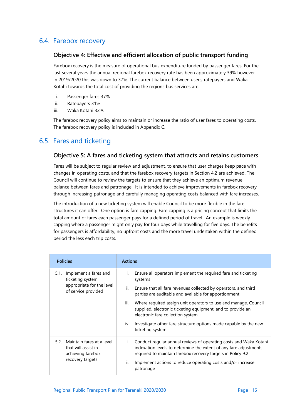# <span id="page-22-0"></span>6.4. Farebox recovery

#### **Objective 4: Effective and efficient allocation of public transport funding**

Farebox recovery is the measure of operational bus expenditure funded by passenger fares. For the last several years the annual regional farebox recovery rate has been approximately 39% however in 2019/2020 this was down to 37%. The current balance between users, ratepayers and Waka Kotahi towards the total cost of providing the regions bus services are:

- i. Passenger fares 37%
- ii. Ratepayers 31%
- iii. Waka Kotahi 32%

The farebox recovery policy aims to maintain or increase the ratio of user fares to operating costs. The farebox recovery policy is included in Appendix C.

### <span id="page-22-1"></span>6.5. Fares and ticketing

#### **Objective 5: A fares and ticketing system that attracts and retains customers**

Fares will be subject to regular review and adjustment, to ensure that user charges keep pace with changes in operating costs, and that the farebox recovery targets in Section 4.2 are achieved. The Council will continue to review the targets to ensure that they achieve an optimum revenue balance between fares and patronage. It is intended to achieve improvements in farebox recovery through increasing patronage and carefully managing operating costs balanced with fare increases.

The introduction of a new ticketing system will enable Council to be more flexible in the fare structures it can offer. One option is fare capping. Fare capping is a pricing concept that limits the total amount of fares each passenger pays for a defined period of travel. An example is weekly capping where a passenger might only pay for four days while travelling for five days. The benefits for passengers is affordability, no upfront costs and the more travel undertaken within the defined period the less each trip costs.

| <b>Policies</b>                                                                                | <b>Actions</b>                                                                                                                                                                                                                                                                    |
|------------------------------------------------------------------------------------------------|-----------------------------------------------------------------------------------------------------------------------------------------------------------------------------------------------------------------------------------------------------------------------------------|
| Implement a fares and<br>5.1.<br>ticketing system<br>appropriate for the level                 | i.<br>Ensure all operators implement the required fare and ticketing<br>systems                                                                                                                                                                                                   |
| of service provided                                                                            | ii.<br>Ensure that all fare revenues collected by operators, and third<br>parties are auditable and available for apportionment                                                                                                                                                   |
|                                                                                                | iii.<br>Where required assign unit operators to use and manage, Council<br>supplied, electronic ticketing equipment, and to provide an<br>electronic fare collection system                                                                                                       |
|                                                                                                | Investigate other fare structure options made capable by the new<br>İV.<br>ticketing system                                                                                                                                                                                       |
| 5.2. Maintain fares at a level<br>that will assist in<br>achieving farebox<br>recovery targets | Conduct regular annual reviews of operating costs and Waka Kotahi<br>Ĺ.<br>indexation levels to determine the extent of any fare adjustments<br>required to maintain farebox recovery targets in Policy 9.2<br>ii.<br>Implement actions to reduce operating costs and/or increase |
|                                                                                                | patronage                                                                                                                                                                                                                                                                         |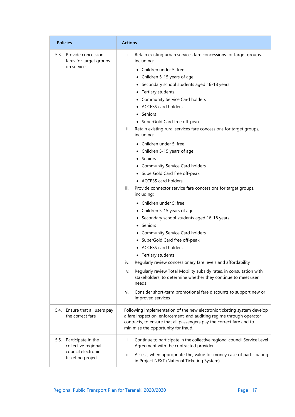| <b>Policies</b>                                                                           | <b>Actions</b>                                                                                                                                                                                                                                                                                                                                                                                                                                                                                                                                                                                                                                                                                                                                                                                                                                                                                                                                                                                                                                                                                                                                                                                                                                                                  |
|-------------------------------------------------------------------------------------------|---------------------------------------------------------------------------------------------------------------------------------------------------------------------------------------------------------------------------------------------------------------------------------------------------------------------------------------------------------------------------------------------------------------------------------------------------------------------------------------------------------------------------------------------------------------------------------------------------------------------------------------------------------------------------------------------------------------------------------------------------------------------------------------------------------------------------------------------------------------------------------------------------------------------------------------------------------------------------------------------------------------------------------------------------------------------------------------------------------------------------------------------------------------------------------------------------------------------------------------------------------------------------------|
| 5.3. Provide concession<br>fares for target groups<br>on services                         | Retain existing urban services fare concessions for target groups,<br>i.<br>including:<br>• Children under 5: free<br>• Children 5-15 years of age<br>• Secondary school students aged 16-18 years<br>• Tertiary students<br>• Community Service Card holders<br>• ACCESS card holders<br>• Seniors<br>• SuperGold Card free off-peak<br>ii.<br>Retain existing rural services fare concessions for target groups,<br>including:<br>• Children under 5: free<br>• Children 5-15 years of age<br>Seniors<br>• Community Service Card holders<br>• SuperGold Card free off-peak<br>• ACCESS card holders<br>iii.<br>Provide connector service fare concessions for target groups,<br>including:<br>• Children under 5: free<br>• Children 5-15 years of age<br>• Secondary school students aged 16-18 years<br>• Seniors<br>• Community Service Card holders<br>• SuperGold Card free off-peak<br><b>ACCESS card holders</b><br>• Tertiary students<br>Regularly review concessionary fare levels and affordability<br>iv.<br>Regularly review Total Mobility subsidy rates, in consultation with<br>v.<br>stakeholders, to determine whether they continue to meet user<br>needs<br>Consider short-term promotional fare discounts to support new or<br>vi.<br>improved services |
| 5.4. Ensure that all users pay<br>the correct fare                                        | Following implementation of the new electronic ticketing system develop<br>a fare inspection, enforcement, and auditing regime through operator<br>contracts, to ensure that all passengers pay the correct fare and to<br>minimise the opportunity for fraud.                                                                                                                                                                                                                                                                                                                                                                                                                                                                                                                                                                                                                                                                                                                                                                                                                                                                                                                                                                                                                  |
| 5.5. Participate in the<br>collective regional<br>council electronic<br>ticketing project | Continue to participate in the collective regional council Service Level<br>i.<br>Agreement with the contracted provider<br>Assess, when appropriate the, value for money case of participating<br>ii.<br>in Project NEXT (National Ticketing System)                                                                                                                                                                                                                                                                                                                                                                                                                                                                                                                                                                                                                                                                                                                                                                                                                                                                                                                                                                                                                           |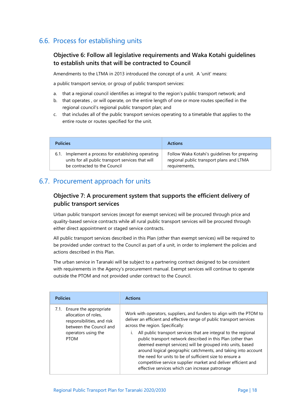# <span id="page-24-0"></span>6.6. Process for establishing units

### **Objective 6: Follow all legislative requirements and Waka Kotahi guidelines to establish units that will be contracted to Council**

Amendments to the LTMA in 2013 introduced the concept of a unit. A 'unit' means:

a public transport service, or group of public transport services:

- a. that a regional council identifies as integral to the region's public transport network; and
- b. that operates , or will operate, on the entire length of one or more routes specified in the regional council's regional public transport plan; and
- c. that includes all of the public transport services operating to a timetable that applies to the entire route or routes specified for the unit.

| <b>Policies</b>                                                                                                                             | <b>Actions</b>                                                                                             |
|---------------------------------------------------------------------------------------------------------------------------------------------|------------------------------------------------------------------------------------------------------------|
| Implement a process for establishing operating<br>6.1.<br>units for all public transport services that will<br>be contracted to the Council | Follow Waka Kotahi's guidelines for preparing<br>regional public transport plans and LTMA<br>requirements, |

### <span id="page-24-1"></span>6.7. Procurement approach for units

### **Objective 7: A procurement system that supports the efficient delivery of public transport services**

Urban public transport services (except for exempt services) will be procured through price and quality-based service contracts while all rural public transport services will be procured through either direct appointment or staged service contracts.

All public transport services described in this Plan (other than exempt services) will be required to be provided under contract to the Council as part of a unit, in order to implement the policies and actions described in this Plan.

The urban service in Taranaki will be subject to a partnering contract designed to be consistent with requirements in the Agency's procurement manual. Exempt services will continue to operate outside the PTOM and not provided under contract to the Council.

| <b>Policies</b>                                                                                                                                    | <b>Actions</b>                                                                                                                                                                                                                                                                                                                                                                                                                                                                                                                                                                 |
|----------------------------------------------------------------------------------------------------------------------------------------------------|--------------------------------------------------------------------------------------------------------------------------------------------------------------------------------------------------------------------------------------------------------------------------------------------------------------------------------------------------------------------------------------------------------------------------------------------------------------------------------------------------------------------------------------------------------------------------------|
| 7.1. Ensure the appropriate<br>allocation of roles.<br>responsibilities, and risk<br>between the Council and<br>operators using the<br><b>PTOM</b> | Work with operators, suppliers, and funders to align with the PTOM to<br>deliver an efficient and effective range of public transport services<br>across the region. Specifically:<br>All public transport services that are integral to the regional<br>public transport network described in this Plan (other than<br>deemed exempt services) will be grouped into units, based<br>around logical geographic catchments, and taking into account<br>the need for units to be of sufficient size to ensure a<br>competitive service supplier market and deliver efficient and |
|                                                                                                                                                    | effective services which can increase patronage                                                                                                                                                                                                                                                                                                                                                                                                                                                                                                                                |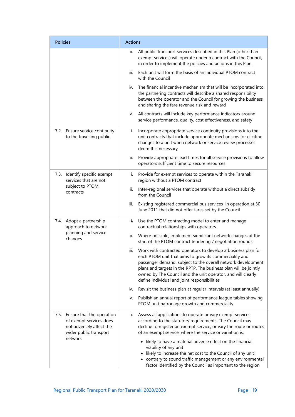| <b>Policies</b>                                                                                                 | <b>Actions</b>                                                                                                                                                                                                                                                                                                                                                                      |  |
|-----------------------------------------------------------------------------------------------------------------|-------------------------------------------------------------------------------------------------------------------------------------------------------------------------------------------------------------------------------------------------------------------------------------------------------------------------------------------------------------------------------------|--|
|                                                                                                                 | All public transport services described in this Plan (other than<br>ii.<br>exempt services) will operate under a contract with the Council,<br>in order to implement the policies and actions in this Plan.                                                                                                                                                                         |  |
|                                                                                                                 | Each unit will form the basis of an individual PTOM contract<br>iii.<br>with the Council                                                                                                                                                                                                                                                                                            |  |
|                                                                                                                 | The financial incentive mechanism that will be incorporated into<br>iv.<br>the partnering contracts will describe a shared responsibility<br>between the operator and the Council for growing the business,<br>and sharing the fare revenue risk and reward                                                                                                                         |  |
|                                                                                                                 | All contracts will include key performance indicators around<br>v.<br>service performance, quality, cost effectiveness, and safety                                                                                                                                                                                                                                                  |  |
| 7.2. Ensure service continuity<br>to the travelling public                                                      | Incorporate appropriate service continuity provisions into the<br>İ.<br>unit contracts that include appropriate mechanisms for eliciting<br>changes to a unit when network or service review processes<br>deem this necessary                                                                                                                                                       |  |
|                                                                                                                 | Provide appropriate lead times for all service provisions to allow<br>ii.<br>operators sufficient time to secure resources                                                                                                                                                                                                                                                          |  |
| 7.3. Identify specific exempt<br>services that are not<br>subject to PTOM<br>contracts                          | Provide for exempt services to operate within the Taranaki<br>i.<br>region without a PTOM contract                                                                                                                                                                                                                                                                                  |  |
|                                                                                                                 | ii.<br>Inter-regional services that operate without a direct subsidy<br>from the Council                                                                                                                                                                                                                                                                                            |  |
|                                                                                                                 | Existing registered commercial bus services in operation at 30<br>iii.<br>June 2011 that did not offer fares set by the Council                                                                                                                                                                                                                                                     |  |
| 7.4. Adopt a partnership<br>approach to network                                                                 | Use the PTOM contracting model to enter and manage<br>Ĺ.<br>contractual relationships with operators.                                                                                                                                                                                                                                                                               |  |
| planning and service<br>changes                                                                                 | ii.<br>Where possible, implement significant network changes at the<br>start of the PTOM contract tendering / negotiation rounds                                                                                                                                                                                                                                                    |  |
|                                                                                                                 | iii.<br>Work with contracted operators to develop a business plan for<br>each PTOM unit that aims to grow its commerciality and<br>passenger demand, subject to the overall network development<br>plans and targets in the RPTP. The business plan will be jointly<br>owned by The Council and the unit operator, and will clearly<br>define individual and joint responsibilities |  |
|                                                                                                                 | Revisit the business plan at regular intervals (at least annually)<br>iv.                                                                                                                                                                                                                                                                                                           |  |
|                                                                                                                 | Publish an annual report of performance league tables showing<br>v.<br>PTOM unit patronage growth and commerciality                                                                                                                                                                                                                                                                 |  |
| 7.5. Ensure that the operation<br>of exempt services does<br>not adversely affect the<br>wider public transport | Assess all applications to operate or vary exempt services<br>i.<br>according to the statutory requirements. The Council may<br>decline to register an exempt service, or vary the route or routes<br>of an exempt service, where the service or variation is:                                                                                                                      |  |
| network                                                                                                         | • likely to have a material adverse effect on the financial<br>viability of any unit<br>• likely to increase the net cost to the Council of any unit<br>• contrary to sound traffic management or any environmental<br>factor identified by the Council as important to the region                                                                                                  |  |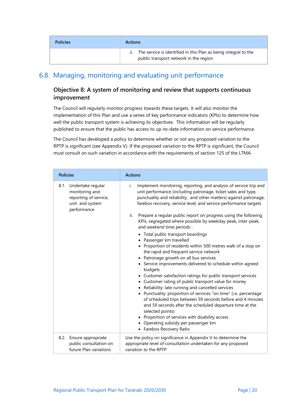| <b>Policies</b> | <b>Actions</b>                                                                                            |
|-----------------|-----------------------------------------------------------------------------------------------------------|
|                 | The service is identified in this Plan as being integral to the<br>public transport network in the region |

# <span id="page-26-0"></span>6.8. Managing, monitoring and evaluating unit performance

### **Objective 8: A system of monitoring and review that supports continuous improvement**

The Council will regularly monitor progress towards these targets. It will also monitor the implementation of this Plan and use a series of key performance indicators (KPIs) to determine how well the public transport system is achieving its objectives. This information will be regularly published to ensure that the public has access to up-to-date information on service performance.

The Council has developed a policy to determine whether or not any proposed variation to the RPTP is significant (see Appendix V). If the proposed variation to the RPTP is significant, the Council must consult on such variation in accordance with the requirements of section 125 of the LTMA.

| <b>Policies</b>                                                                                     | <b>Actions</b>                                                                                                                                                                                                                                                                                                                                                                                                                                                                                                                                                                                                                                                                                                                                                                                                                                                                                                                                                                                                                                                                                                                                                                                                                                          |
|-----------------------------------------------------------------------------------------------------|---------------------------------------------------------------------------------------------------------------------------------------------------------------------------------------------------------------------------------------------------------------------------------------------------------------------------------------------------------------------------------------------------------------------------------------------------------------------------------------------------------------------------------------------------------------------------------------------------------------------------------------------------------------------------------------------------------------------------------------------------------------------------------------------------------------------------------------------------------------------------------------------------------------------------------------------------------------------------------------------------------------------------------------------------------------------------------------------------------------------------------------------------------------------------------------------------------------------------------------------------------|
| 8.1. Undertake regular<br>monitoring and<br>reporting of service,<br>unit and system<br>performance | Implement monitoring, reporting, and analysis of service trip and<br>i.<br>unit performance (including patronage, ticket sales and type,<br>punctuality and reliability, and other matters) against patronage,<br>farebox recovery, service level, and service performance targets<br>ii.<br>Prepare a regular public report on progress using the following<br>KPIs, segregated where possible by weekday peak, inter-peak,<br>and weekend time periods :<br>• Total public transport boardings<br>• Passenger km travelled<br>• Proportion of residents within 500 metres walk of a stop on<br>the rapid and frequent service network<br>• Patronage growth on all bus services<br>• Service improvements delivered to schedule within agreed<br>budgets<br>• Customer satisfaction ratings for public transport services<br>• Customer rating of public transport value for money<br>• Reliability: late running and cancelled services<br>• Punctuality: proportion of services "on time" (i.e. percentage<br>of scheduled trips between 59 seconds before and 4 minutes<br>and 59 seconds after the scheduled departure time at the<br>selected points)<br>• Proportion of services with disability access<br>• Operating subsidy per passenger km |
| 8.2. Ensure appropriate<br>public consultation on<br>future Plan variations                         | • Farebox Recovery Ratio<br>Use the policy on significance in Appendix V to determine the<br>appropriate level of consultation undertaken for any proposed<br>variation to the RPTP                                                                                                                                                                                                                                                                                                                                                                                                                                                                                                                                                                                                                                                                                                                                                                                                                                                                                                                                                                                                                                                                     |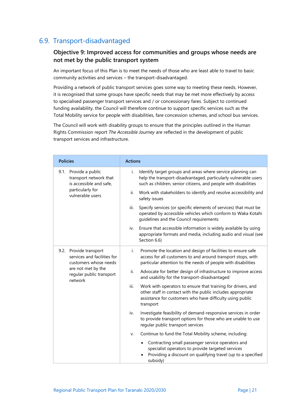# <span id="page-27-0"></span>6.9. Transport-disadvantaged

### **Objective 9: Improved access for communities and groups whose needs are not met by the public transport system**

An important focus of this Plan is to meet the needs of those who are least able to travel to basic community activities and services – the transport-disadvantaged.

Providing a network of public transport services goes some way to meeting these needs. However, it is recognised that some groups have specific needs that may be met more effectively by access to specialised passenger transport services and / or concessionary fares. Subject to continued funding availability, the Council will therefore continue to support specific services such as the Total Mobility service for people with disabilities, fare concession schemes, and school bus services.

The Council will work with disability groups to ensure that the principles outlined in the Human Rights Commission report *The Accessible Journey* are reflected in the development of public transport services and infrastructure.

| <b>Policies</b>                                                                                                                             | <b>Actions</b>                                                                                                                                                                                                |
|---------------------------------------------------------------------------------------------------------------------------------------------|---------------------------------------------------------------------------------------------------------------------------------------------------------------------------------------------------------------|
| 9.1. Provide a public<br>transport network that<br>is accessible and safe,<br>particularly for<br>vulnerable users                          | Identify target groups and areas where service planning can<br>i.<br>help the transport-disadvantaged, particularly vulnerable users<br>such as children, senior citizens, and people with disabilities       |
|                                                                                                                                             | ii.<br>Work with stakeholders to identify and resolve accessibility and<br>safety issues                                                                                                                      |
|                                                                                                                                             | Specify services (or specific elements of services) that must be<br>iii.<br>operated by accessible vehicles which conform to Waka Kotahi<br>guidelines and the Council requirements                           |
|                                                                                                                                             | Ensure that accessible information is widely available by using<br>iv.<br>appropriate formats and media, including audio and visual (see<br>Section 6.6)                                                      |
| 9.2. Provide transport<br>services and facilities for<br>customers whose needs<br>are not met by the<br>regular public transport<br>network | i.<br>Promote the location and design of facilities to ensure safe<br>access for all customers to and around transport stops, with<br>particular attention to the needs of people with disabilities           |
|                                                                                                                                             | ii.<br>Advocate for better design of infrastructure to improve access<br>and usability for the transport-disadvantaged                                                                                        |
|                                                                                                                                             | iii.<br>Work with operators to ensure that training for drivers, and<br>other staff in contact with the public includes appropriate<br>assistance for customers who have difficulty using public<br>transport |
|                                                                                                                                             | iv.<br>Investigate feasibility of demand-responsive services in order<br>to provide transport options for those who are unable to use<br>regular public transport services                                    |
|                                                                                                                                             | Continue to fund the Total Mobility scheme, including:<br>v.                                                                                                                                                  |
|                                                                                                                                             | Contracting small passenger service operators and<br>specialist operators to provide targeted services<br>Providing a discount on qualifying travel (up to a specified<br>subsidy)                            |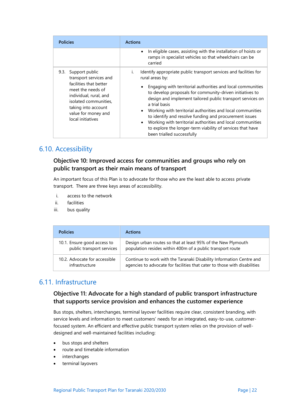| <b>Policies</b>                                                                                                                                                                                                       | <b>Actions</b>                                                                                                                                                                                                                                                                                                                                                                                                                                                                                                                                                                                                                          |
|-----------------------------------------------------------------------------------------------------------------------------------------------------------------------------------------------------------------------|-----------------------------------------------------------------------------------------------------------------------------------------------------------------------------------------------------------------------------------------------------------------------------------------------------------------------------------------------------------------------------------------------------------------------------------------------------------------------------------------------------------------------------------------------------------------------------------------------------------------------------------------|
|                                                                                                                                                                                                                       | In eligible cases, assisting with the installation of hoists or<br>$\bullet$<br>ramps in specialist vehicles so that wheelchairs can be<br>carried                                                                                                                                                                                                                                                                                                                                                                                                                                                                                      |
| Support public<br>9.3.<br>transport services and<br>facilities that better<br>meet the needs of<br>individual, rural, and<br>isolated communities,<br>taking into account<br>value for money and<br>local initiatives | Identify appropriate public transport services and facilities for<br>$\mathbf{L}$<br>rural areas by:<br>Engaging with territorial authorities and local communities<br>$\bullet$<br>to develop proposals for community-driven initiatives to<br>design and implement tailored public transport services on<br>a trial basis<br>Working with territorial authorities and local communities<br>$\bullet$<br>to identify and resolve funding and procurement issues<br>Working with territorial authorities and local communities<br>$\bullet$<br>to explore the longer-term viability of services that have<br>been trialled successfully |

### <span id="page-28-0"></span>6.10. Accessibility

### **Objective 10: Improved access for communities and groups who rely on public transport as their main means of transport**

An important focus of this Plan is to advocate for those who are the least able to access private transport. There are three keys areas of accessibility.

- i. access to the network
- ii. facilities
- iii. bus quality

| <b>Policies</b>               | <b>Actions</b>                                                            |
|-------------------------------|---------------------------------------------------------------------------|
| 10.1. Ensure good access to   | Design urban routes so that at least 95% of the New Plymouth              |
| public transport services     | population resides within 400m of a public transport route                |
| 10.2. Advocate for accessible | Continue to work with the Taranaki Disability Information Centre and      |
| infrastructure                | agencies to advocate for facilities that cater to those with disabilities |

# <span id="page-28-1"></span>6.11. Infrastructure

### **Objective 11: Advocate for a high standard of public transport infrastructure that supports service provision and enhances the customer experience**

Bus stops, shelters, interchanges, terminal layover facilities require clear, consistent branding, with service levels and information to meet customers' needs for an integrated, easy-to-use, customerfocused system. An efficient and effective public transport system relies on the provision of welldesigned and well-maintained facilities including:

- bus stops and shelters
- route and timetable information
- interchanges
- terminal layovers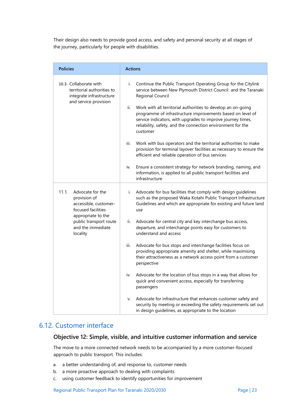Their design also needs to provide good access, and safety and personal security at all stages of the journey, particularly for people with disabilities.

| <b>Policies</b>                                                                                                                                                           | <b>Actions</b>                                                                                                                                                                                                                                                                                                                                                                                                                                                                                                                                                                                                                                                                                                                                                                                                                                                                                                                                            |  |  |
|---------------------------------------------------------------------------------------------------------------------------------------------------------------------------|-----------------------------------------------------------------------------------------------------------------------------------------------------------------------------------------------------------------------------------------------------------------------------------------------------------------------------------------------------------------------------------------------------------------------------------------------------------------------------------------------------------------------------------------------------------------------------------------------------------------------------------------------------------------------------------------------------------------------------------------------------------------------------------------------------------------------------------------------------------------------------------------------------------------------------------------------------------|--|--|
| 10.3. Collaborate with<br>territorial authorities to<br>integrate infrastructure<br>and service provision                                                                 | Continue the Public Transport Operating Group for the Citylink<br>i.<br>service between New Plymouth District Council and the Taranaki<br>Regional Council<br>ii.<br>Work with all territorial authorities to develop an on-going<br>programme of infrastructure improvements based on level of<br>service indicators, with upgrades to improve journey times,<br>reliability, safety, and the connection environment for the<br>customer<br>Work with bus operators and the territorial authorities to make<br>iii.<br>provision for terminal layover facilities as necessary to ensure the<br>efficient and reliable operation of bus services<br>Ensure a consistent strategy for network branding, naming, and<br>iv.<br>information, is applied to all public transport facilities and<br>infrastructure                                                                                                                                             |  |  |
| Advocate for the<br>11.1.<br>provision of<br>accessible, customer-<br>focused facilities<br>appropriate to the<br>public transport route<br>and the immediate<br>locality | Advocate for bus facilities that comply with design guidelines<br>i.<br>such as the proposed Waka Kotahi Public Transport Infrastructure<br>Guidelines and which are appropriate for existing and future land<br>use<br>Advocate for central city and key interchange bus access,<br>ii.<br>departure, and interchange points easy for customers to<br>understand and access<br>Advocate for bus stops and interchange facilities focus on<br>iii.<br>providing appropriate amenity and shelter, while maximising<br>their attractiveness as a network access point from a customer<br>perspective<br>Advocate for the location of bus stops in a way that allows for<br>iv.<br>quick and convenient access, especially for transferring<br>passengers<br>Advocate for infrastructure that enhances customer safety and<br>v.<br>security by meeting or exceeding the safety requirements set out<br>in design guidelines, as appropriate to the location |  |  |

# <span id="page-29-0"></span>6.12. Customer interface

### **Objective 12: Simple, visible, and intuitive customer information and service**

The move to a more connected network needs to be accompanied by a more customer-focused approach to public transport. This includes:

- a. a better understanding of, and response to, customer needs
- b. a more proactive approach to dealing with complaints
- c. using customer feedback to identify opportunities for improvement

Regional Public Transport Plan for Taranaki 2020/2030 Page | 23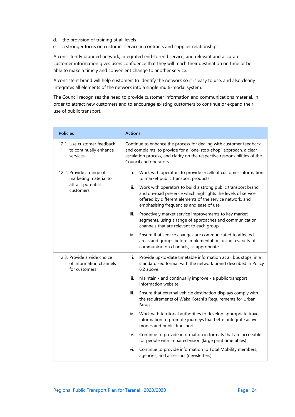- d. the provision of training at all levels
- e. a stronger focus on customer service in contracts and supplier relationships.

A consistently branded network, integrated end-to-end service, and relevant and accurate customer information gives users confidence that they will reach their destination on time or be able to make a timely and convenient change to another service.

A consistent brand will help customers to identify the network so it is easy to use, and also clearly integrates all elements of the network into a single multi-modal system.

The Council recognises the need to provide customer information and communications material, in order to attract new customers and to encourage existing customers to continue or expand their use of public transport.

| <b>Policies</b>                                                                     | <b>Actions</b>                                                                                                                                                                                                                                                                                                                                                                                                            |
|-------------------------------------------------------------------------------------|---------------------------------------------------------------------------------------------------------------------------------------------------------------------------------------------------------------------------------------------------------------------------------------------------------------------------------------------------------------------------------------------------------------------------|
| 12.1. Use customer feedback<br>to continually enhance<br>services                   | Continue to enhance the process for dealing with customer feedback<br>and complaints, to provide for a "one-stop-shop" approach, a clear<br>escalation process, and clarity on the respective responsibilities of the<br>Council and operators                                                                                                                                                                            |
| 12.2. Provide a range of<br>marketing material to<br>attract potential<br>customers | Work with operators to provide excellent customer information<br>i.<br>to market public transport products<br>ii.<br>Work with operators to build a strong public transport brand<br>and on-road presence which highlights the levels of service<br>offered by different elements of the service network, and<br>emphasising frequencies and ease of use<br>iii.<br>Proactively market service improvements to key market |
|                                                                                     | segments, using a range of approaches and communication<br>channels that are relevant to each group<br>Ensure that service changes are communicated to affected<br>iv.<br>areas and groups before implementation, using a variety of<br>communication channels, as appropriate                                                                                                                                            |
| 12.3. Provide a wide choice<br>of information channels<br>for customers             | Provide up-to-date timetable information at all bus stops, in a<br>i.<br>standardised format with the network brand described in Policy<br>6.2 above                                                                                                                                                                                                                                                                      |
|                                                                                     | ii.<br>Maintain - and continually improve - a public transport<br>information website                                                                                                                                                                                                                                                                                                                                     |
|                                                                                     | iii.<br>Ensure that external vehicle destination displays comply with<br>the requirements of Waka Kotahi's Requirements for Urban<br><b>Buses</b>                                                                                                                                                                                                                                                                         |
|                                                                                     | Work with territorial authorities to develop appropriate travel<br>iv.<br>information to promote journeys that better integrate active<br>modes and public transport                                                                                                                                                                                                                                                      |
|                                                                                     | Continue to provide information in formats that are accessible<br>V.<br>for people with impaired vision (large print timetables)                                                                                                                                                                                                                                                                                          |
|                                                                                     | Continue to provide information to Total Mobility members,<br>vi.<br>agencies, and assessors (newsletters)                                                                                                                                                                                                                                                                                                                |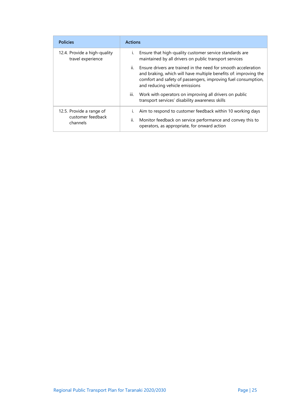| <b>Policies</b>                                           | <b>Actions</b>                                                                                                                                                                                                                               |
|-----------------------------------------------------------|----------------------------------------------------------------------------------------------------------------------------------------------------------------------------------------------------------------------------------------------|
| 12.4. Provide a high-quality<br>travel experience         | Ensure that high-quality customer service standards are<br>i.<br>maintained by all drivers on public transport services                                                                                                                      |
|                                                           | ii.<br>Ensure drivers are trained in the need for smooth acceleration<br>and braking, which will have multiple benefits of: improving the<br>comfort and safety of passengers, improving fuel consumption,<br>and reducing vehicle emissions |
|                                                           | Work with operators on improving all drivers on public<br>Ш.<br>transport services' disability awareness skills                                                                                                                              |
| 12.5. Provide a range of<br>customer feedback<br>channels | Aim to respond to customer feedback within 10 working days<br>Monitor feedback on service performance and convey this to<br>II.<br>operators, as appropriate, for onward action                                                              |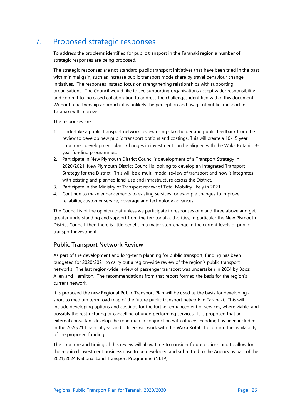# <span id="page-32-0"></span>7. Proposed strategic responses

To address the problems identified for public transport in the Taranaki region a number of strategic responses are being proposed.

The strategic responses are not standard public transport initiatives that have been tried in the past with minimal gain, such as increase public transport mode share by travel behaviour change initiatives. The responses instead focus on strengthening relationships with supporting organisations. The Council would like to see supporting organisations accept wider responsibility and commit to increased collaboration to address the challenges identified within this document. Without a partnership approach, it is unlikely the perception and usage of public transport in Taranaki will improve.

The responses are:

- 1. Undertake a public transport network review using stakeholder and public feedback from the review to develop new public transport options and costings. This will create a 10-15 year structured development plan. Changes in investment can be aligned with the Waka Kotahi's 3 year funding programmes.
- 2. Participate in New Plymouth District Council's development of a Transport Strategy in 2020/2021. New Plymouth District Council is looking to develop an Integrated Transport Strategy for the District. This will be a multi-modal review of transport and how it integrates with existing and planned land-use and infrastructure across the District.
- 3. Participate in the Ministry of Transport review of Total Mobility likely in 2021.
- 4. Continue to make enhancements to existing services for example changes to improve reliability, customer service, coverage and technology advances.

The Council is of the opinion that unless we participate in responses one and three above and get greater understanding and support from the territorial authorities, in particular the New Plymouth District Council, then there is little benefit in a major step-change in the current levels of public transport investment.

#### **Public Transport Network Review**

As part of the development and long-term planning for public transport, funding has been budgeted for 2020/2021 to carry out a region-wide review of the region's public transport networks. The last region-wide review of passenger transport was undertaken in 2004 by Booz, Allen and Hamilton. The recommendations from that report formed the basis for the region's current network.

It is proposed the new Regional Public Transport Plan will be used as the basis for developing a short to medium term road map of the future public transport network in Taranaki. This will include developing options and costings for the further enhancement of services, where viable, and possibly the restructuring or cancelling of underperforming services. It is proposed that an external consultant develop the road map in conjunction with officers. Funding has been included in the 2020/21 financial year and officers will work with the Waka Kotahi to confirm the availability of the proposed funding.

The structure and timing of this review will allow time to consider future options and to allow for the required investment business case to be developed and submitted to the Agency as part of the 2021/2024 National Land Transport Programme (NLTP).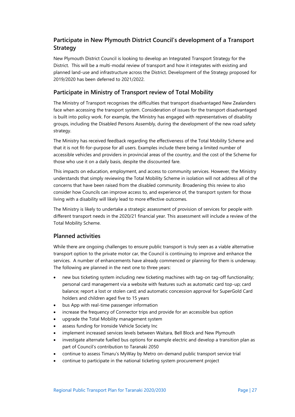### **Participate in New Plymouth District Council's development of a Transport Strategy**

New Plymouth District Council is looking to develop an Integrated Transport Strategy for the District. This will be a multi-modal review of transport and how it integrates with existing and planned land-use and infrastructure across the District. Development of the Strategy proposed for 2019/2020 has been deferred to 2021/2022.

### **Participate in Ministry of Transport review of Total Mobility**

The Ministry of Transport recognises the difficulties that transport disadvantaged New Zealanders face when accessing the transport system. Consideration of issues for the transport disadvantaged is built into policy work. For example, the Ministry has engaged with representatives of disability groups, including the Disabled Persons Assembly, during the development of the new road safety strategy.

The Ministry has received feedback regarding the effectiveness of the Total Mobility Scheme and that it is not fit-for-purpose for all users. Examples include there being a limited number of accessible vehicles and providers in provincial areas of the country, and the cost of the Scheme for those who use it on a daily basis, despite the discounted fare.

This impacts on education, employment, and access to community services. However, the Ministry understands that simply reviewing the Total Mobility Scheme in isolation will not address all of the concerns that have been raised from the disabled community. Broadening this review to also consider how Councils can improve access to, and experience of, the transport system for those living with a disability will likely lead to more effective outcomes.

The Ministry is likely to undertake a strategic assessment of provision of services for people with different transport needs in the 2020/21 financial year. This assessment will include a review of the Total Mobility Scheme.

#### **Planned activities**

While there are ongoing challenges to ensure public transport is truly seen as a viable alternative transport option to the private motor car, the Council is continuing to improve and enhance the services. A number of enhancements have already commenced or planning for them is underway. The following are planned in the next one to three years:

- new bus ticketing system including new ticketing machines with tag-on tag-off functionality; personal card management via a website with features such as automatic card top-up; card balance; report a lost or stolen card; and automatic concession approval for SuperGold Card holders and children aged five to 15 years
- bus App with real-time passenger information
- increase the frequency of Connector trips and provide for an accessible bus option
- upgrade the Total Mobility management system
- assess funding for Ironside Vehicle Society Inc
- implement increased services levels between Waitara, Bell Block and New Plymouth
- investigate alternate fuelled bus options for example electric and develop a transition plan as part of Council's contribution to Taranaki 2050
- continue to assess Timaru's MyWay by Metro on-demand public transport service trial
- continue to participate in the national ticketing system procurement project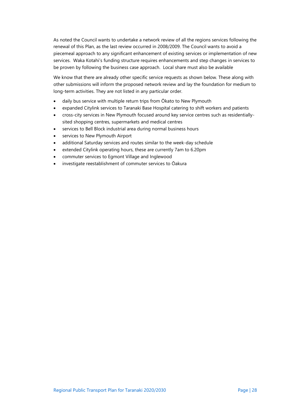As noted the Council wants to undertake a network review of all the regions services following the renewal of this Plan, as the last review occurred in 2008/2009. The Council wants to avoid a piecemeal approach to any significant enhancement of existing services or implementation of new services. Waka Kotahi's funding structure requires enhancements and step changes in services to be proven by following the business case approach. Local share must also be available

We know that there are already other specific service requests as shown below. These along with other submissions will inform the proposed network review and lay the foundation for medium to long-term activities. They are not listed in any particular order.

- daily bus service with multiple return trips from Ōkato to New Plymouth
- expanded Citylink services to Taranaki Base Hospital catering to shift workers and patients
- cross-city services in New Plymouth focused around key service centres such as residentiallysited shopping centres, supermarkets and medical centres
- services to Bell Block industrial area during normal business hours
- services to New Plymouth Airport
- additional Saturday services and routes similar to the week-day schedule
- extended Citylink operating hours, these are currently 7am to 6.20pm
- commuter services to Egmont Village and Inglewood
- investigate reestablishment of commuter services to Ōakura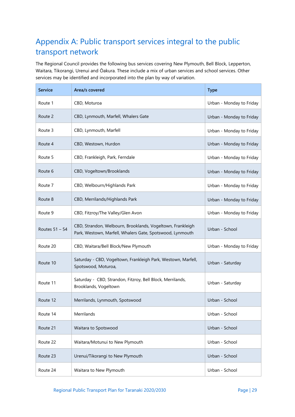# <span id="page-35-0"></span>Appendix A: Public transport services integral to the public transport network

The Regional Council provides the following bus services covering New Plymouth, Bell Block, Lepperton, Waitara, Tikorangi, Urenui and Ōakura. These include a mix of urban services and school services. Other services may be identified and incorporated into the plan by way of variation.

| <b>Service</b> | Area/s covered                                                                                                          | <b>Type</b>              |
|----------------|-------------------------------------------------------------------------------------------------------------------------|--------------------------|
| Route 1        | CBD, Moturoa                                                                                                            | Urban - Monday to Friday |
| Route 2        | CBD, Lynmouth, Marfell, Whalers Gate                                                                                    | Urban - Monday to Friday |
| Route 3        | CBD, Lynmouth, Marfell                                                                                                  | Urban - Monday to Friday |
| Route 4        | CBD, Westown, Hurdon                                                                                                    | Urban - Monday to Friday |
| Route 5        | CBD, Frankleigh, Park, Ferndale                                                                                         | Urban - Monday to Friday |
| Route 6        | CBD, Vogeltown/Brooklands                                                                                               | Urban - Monday to Friday |
| Route 7        | CBD, Welbourn/Highlands Park                                                                                            | Urban - Monday to Friday |
| Route 8        | CBD, Merrilands/Highlands Park                                                                                          | Urban - Monday to Friday |
| Route 9        | CBD, Fitzroy/The Valley/Glen Avon                                                                                       | Urban - Monday to Friday |
| Routes 51 - 54 | CBD, Strandon, Welbourn, Brooklands, Vogeltown, Frankleigh<br>Park, Westown, Marfell, Whalers Gate, Spotswood, Lynmouth | Urban - School           |
| Route 20       | CBD, Waitara/Bell Block/New Plymouth                                                                                    | Urban - Monday to Friday |
| Route 10       | Saturday - CBD, Vogeltown, Frankleigh Park, Westown, Marfell,<br>Spotswood, Moturoa,                                    | Urban - Saturday         |
| Route 11       | Saturday - CBD, Strandon, Fitzroy, Bell Block, Merrilands,<br>Brooklands, Vogeltown                                     | Urban - Saturday         |
| Route 12       | Merrilands, Lynmouth, Spotswood                                                                                         | Urban - School           |
| Route 14       | Merrilands                                                                                                              | Urban - School           |
| Route 21       | Waitara to Spotswood                                                                                                    | Urban - School           |
| Route 22       | Waitara/Motunui to New Plymouth                                                                                         | Urban - School           |
| Route 23       | Urenui/Tikorangi to New Plymouth                                                                                        | Urban - School           |
| Route 24       | Waitara to New Plymouth                                                                                                 | Urban - School           |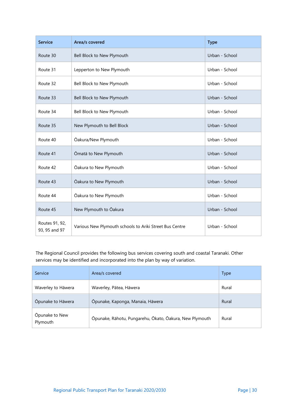| <b>Service</b>                  | Area/s covered                                          | <b>Type</b>    |
|---------------------------------|---------------------------------------------------------|----------------|
| Route 30                        | Bell Block to New Plymouth                              | Urban - School |
| Route 31                        | Lepperton to New Plymouth                               | Urban - School |
| Route 32                        | Bell Block to New Plymouth                              | Urban - School |
| Route 33                        | Bell Block to New Plymouth                              | Urban - School |
| Route 34                        | Bell Block to New Plymouth                              | Urban - School |
| Route 35                        | New Plymouth to Bell Block                              | Urban - School |
| Route 40                        | Ōakura/New Plymouth                                     | Urban - School |
| Route 41                        | Ōmatā to New Plymouth                                   | Urban - School |
| Route 42                        | Ōakura to New Plymouth                                  | Urban - School |
| Route 43                        | Ōakura to New Plymouth                                  | Urban - School |
| Route 44                        | Ōakura to New Plymouth                                  | Urban - School |
| Route 45                        | New Plymouth to Oakura                                  | Urban - School |
| Routes 91, 92,<br>93, 95 and 97 | Various New Plymouth schools to Ariki Street Bus Centre | Urban - School |

The Regional Council provides the following bus services covering south and coastal Taranaki. Other services may be identified and incorporated into the plan by way of variation.

| Service                    | Area/s covered                                          | <b>Type</b> |
|----------------------------|---------------------------------------------------------|-------------|
| Waverley to Hāwera         | Waverley, Pātea, Hāwera                                 | Rural       |
| Opunake to Hāwera          | Ōpunake, Kaponga, Manaia, Hāwera                        | Rural       |
| Opunake to New<br>Plymouth | Ōpunake, Rāhotu, Pungarehu, Ōkato, Ōakura, New Plymouth | Rural       |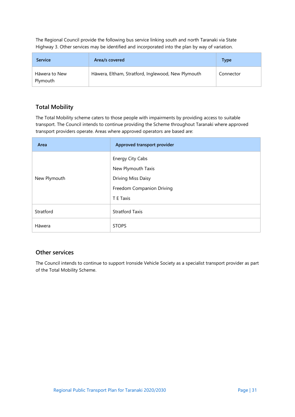The Regional Council provide the following bus service linking south and north Taranaki via State Highway 3. Other services may be identified and incorporated into the plan by way of variation.

| <b>Service</b>            | Area/s covered                                     | Type      |
|---------------------------|----------------------------------------------------|-----------|
| Hāwera to New<br>Plymouth | Hāwera, Eltham, Stratford, Inglewood, New Plymouth | Connector |

### **Total Mobility**

The Total Mobility scheme caters to those people with impairments by providing access to suitable transport. The Council intends to continue providing the Scheme throughout Taranaki where approved transport providers operate. Areas where approved operators are based are:

| Area         | Approved transport provider |
|--------------|-----------------------------|
|              | <b>Energy City Cabs</b>     |
|              | New Plymouth Taxis          |
| New Plymouth | Driving Miss Daisy          |
|              | Freedom Companion Driving   |
|              | T E Taxis                   |
| Stratford    | <b>Stratford Taxis</b>      |
| Hāwera       | <b>STOPS</b>                |

#### **Other services**

The Council intends to continue to support Ironside Vehicle Society as a specialist transport provider as part of the Total Mobility Scheme.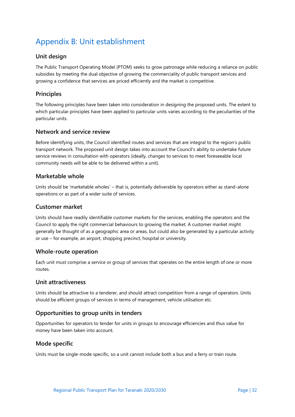# <span id="page-38-0"></span>Appendix B: Unit establishment

### **Unit design**

The Public Transport Operating Model (PTOM) seeks to grow patronage while reducing a reliance on public subsidies by meeting the dual objective of growing the commerciality of public transport services and growing a confidence that services are priced efficiently and the market is competitive.

#### **Principles**

The following principles have been taken into consideration in designing the proposed units. The extent to which particular principles have been applied to particular units varies according to the peculiarities of the particular units.

#### **Network and service review**

Before identifying units, the Council identified routes and services that are integral to the region's public transport network. The proposed unit design takes into account the Council's ability to undertake future service reviews in consultation with operators (ideally, changes to services to meet foreseeable local community needs will be able to be delivered within a unit).

#### **Marketable whole**

Units should be 'marketable wholes' – that is, potentially deliverable by operators either as stand-alone operations or as part of a wider suite of services.

#### **Customer market**

Units should have readily identifiable customer markets for the services, enabling the operators and the Council to apply the right commercial behaviours to growing the market. A customer market might generally be thought of as a geographic area or areas, but could also be generated by a particular activity or use – for example, an airport, shopping precinct, hospital or university.

#### **Whole-route operation**

Each unit must comprise a service or group of services that operates on the entire length of one or more routes.

#### **Unit attractiveness**

Units should be attractive to a tenderer, and should attract competition from a range of operators. Units should be efficient groups of services in terms of management, vehicle utilisation etc.

#### **Opportunities to group units in tenders**

Opportunities for operators to tender for units in groups to encourage efficiencies and thus value for money have been taken into account.

#### **Mode specific**

Units must be single-mode specific, so a unit cannot include both a bus and a ferry or train route.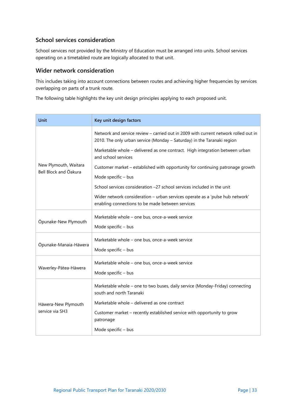### **School services consideration**

School services not provided by the Ministry of Education must be arranged into units. School services operating on a timetabled route are logically allocated to that unit.

### **Wider network consideration**

This includes taking into account connections between routes and achieving higher frequencies by services overlapping on parts of a trunk route.

The following table highlights the key unit design principles applying to each proposed unit.

| Unit                                           | Key unit design factors                                                                                                                                        |  |
|------------------------------------------------|----------------------------------------------------------------------------------------------------------------------------------------------------------------|--|
|                                                | Network and service review - carried out in 2009 with current network rolled out in<br>2010. The only urban service (Monday - Saturday) in the Taranaki region |  |
|                                                | Marketable whole - delivered as one contract. High integration between urban<br>and school services                                                            |  |
| New Plymouth, Waitara<br>Bell Block and Oakura | Customer market - established with opportunity for continuing patronage growth                                                                                 |  |
|                                                | Mode specific - bus                                                                                                                                            |  |
|                                                | School services consideration -27 school services included in the unit                                                                                         |  |
|                                                | Wider network consideration - urban services operate as a 'pulse hub network'<br>enabling connections to be made between services                              |  |
| Opunake-New Plymouth                           | Marketable whole - one bus, once-a-week service                                                                                                                |  |
|                                                | Mode specific - bus                                                                                                                                            |  |
|                                                | Marketable whole - one bus, once-a-week service                                                                                                                |  |
| Ōpunake-Manaia-Hāwera                          | Mode specific - bus                                                                                                                                            |  |
|                                                | Marketable whole – one bus, once-a-week service                                                                                                                |  |
| Waverley-Pātea-Hāwera                          | Mode specific - bus                                                                                                                                            |  |
| Hāwera-New Plymouth<br>service via SH3         | Marketable whole - one to two buses, daily service (Monday-Friday) connecting<br>south and north Taranaki                                                      |  |
|                                                | Marketable whole - delivered as one contract                                                                                                                   |  |
|                                                | Customer market - recently established service with opportunity to grow<br>patronage                                                                           |  |
|                                                | Mode specific - bus                                                                                                                                            |  |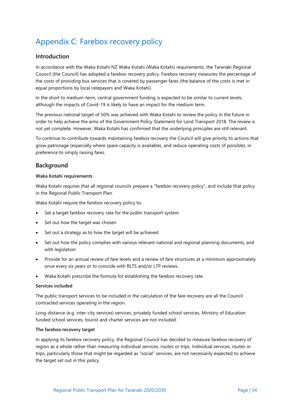# <span id="page-40-0"></span>Appendix C: Farebox recovery policy

#### **Introduction**

In accordance with the Waka Kotahi NZ Waka Kotahi (Waka Kotahi) requirements, the Taranaki Regional Council (the Council) has adopted a farebox recovery policy. Farebox recovery measures the percentage of the costs of providing bus services that is covered by passenger fares (the balance of the costs is met in equal proportions by local ratepayers and Waka Kotahi).

In the short to medium-term, central government funding is expected to be similar to current levels, although the impacts of Covid-19 is likely to have an impact for the medium term.

The previous national target of 50% was achieved with Waka Kotahi to review the policy in the future in order to help achieve the aims of the Government Policy Statement for Land Transport 2018. The review is not yet complete. However, Waka Kotahi has confirmed that the underlying principles are still relevant.

To continue to contribute towards maintaining farebox recovery the Council will give priority to actions that grow patronage (especially where spare capacity is available), and reduce operating costs (if possible), in preference to simply raising fares.

#### **Background**

#### **Waka Kotahi requirements**

Waka Kotahi requires that all regional councils prepare a "farebox recovery policy", and include that policy in the Regional Public Transport Plan.

Waka Kotahi require the farebox recovery policy to:

- Set a target farebox recovery rate for the public transport system
- Set out how the target was chosen
- Set out a strategy as to how the target will be achieved
- Set out how the policy complies with various relevant national and regional planning documents, and with legislation
- Provide for an annual review of fare levels and a review of fare structures at a minimum approximately once every six years or to coincide with RLTS and/or LTP reviews.
- Waka Kotahi prescribe the formula for establishing the farebox recovery rate.

#### **Services included**

The public transport services to be included in the calculation of the fare recovery are all the Council contracted services operating in the region.

Long-distance (e.g. inter-city services) services, privately funded school services, Ministry of Education funded school services, tourist and charter services are not included.

#### **The farebox recovery target**

In applying its farebox recovery policy, the Regional Council has decided to measure farebox recovery of region as a whole rather than measuring individual services, routes or trips. Individual services, routes or trips, particularly those that might be regarded as "social" services, are not necessarily expected to achieve the target set out in this policy.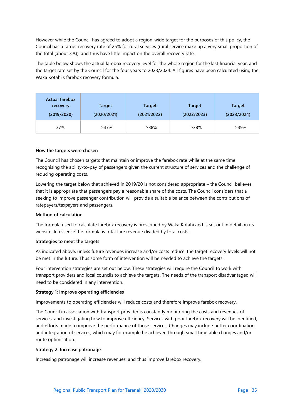However while the Council has agreed to adopt a region-wide target for the purposes of this policy, the Council has a target recovery rate of 25% for rural services (rural service make up a very small proportion of the total (about 3%)), and thus have little impact on the overall recovery rate.

The table below shows the actual farebox recovery level for the whole region for the last financial year, and the target rate set by the Council for the four years to 2023/2024. All figures have been calculated using the Waka Kotahi's farebox recovery formula.

| <b>Actual farebox</b><br>recovery<br>(2019/2020) | <b>Target</b><br>(2020/2021) | <b>Target</b><br>(2021/2022) | <b>Target</b><br>(2022/2023) | <b>Target</b><br>(2023/2024) |
|--------------------------------------------------|------------------------------|------------------------------|------------------------------|------------------------------|
| 37%                                              | ≥37%                         | ≥38%                         | ≥38%                         | $>39\%$                      |

#### **How the targets were chosen**

The Council has chosen targets that maintain or improve the farebox rate while at the same time recognising the ability-to-pay of passengers given the current structure of services and the challenge of reducing operating costs.

Lowering the target below that achieved in 2019/20 is not considered appropriate – the Council believes that it is appropriate that passengers pay a reasonable share of the costs. The Council considers that a seeking to improve passenger contribution will provide a suitable balance between the contributions of ratepayers/taxpayers and passengers.

#### **Method of calculation**

The formula used to calculate farebox recovery is prescribed by Waka Kotahi and is set out in detail on its website. In essence the formula is total fare revenue divided by total costs.

#### **Strategies to meet the targets**

As indicated above, unless future revenues increase and/or costs reduce, the target recovery levels will not be met in the future. Thus some form of intervention will be needed to achieve the targets.

Four intervention strategies are set out below. These strategies will require the Council to work with transport providers and local councils to achieve the targets. The needs of the transport disadvantaged will need to be considered in any intervention.

#### **Strategy 1: Improve operating efficiencies**

Improvements to operating efficiencies will reduce costs and therefore improve farebox recovery.

The Council in association with transport provider is constantly monitoring the costs and revenues of services, and investigating how to improve efficiency. Services with poor farebox recovery will be identified, and efforts made to improve the performance of those services. Changes may include better coordination and integration of services, which may for example be achieved through small timetable changes and/or route optimisation.

#### **Strategy 2: Increase patronage**

Increasing patronage will increase revenues, and thus improve farebox recovery.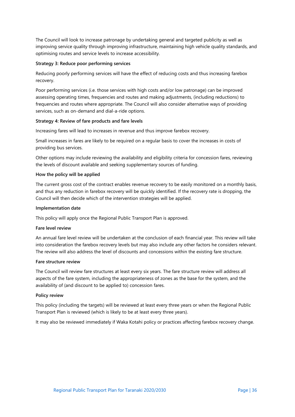The Council will look to increase patronage by undertaking general and targeted publicity as well as improving service quality through improving infrastructure, maintaining high vehicle quality standards, and optimising routes and service levels to increase accessibility.

#### **Strategy 3: Reduce poor performing services**

Reducing poorly performing services will have the effect of reducing costs and thus increasing farebox recovery.

Poor performing services (i.e. those services with high costs and/or low patronage) can be improved assessing operating times, frequencies and routes and making adjustments, (including reductions) to frequencies and routes where appropriate. The Council will also consider alternative ways of providing services, such as on-demand and dial-a-ride options.

#### **Strategy 4: Review of fare products and fare levels**

Increasing fares will lead to increases in revenue and thus improve farebox recovery.

Small increases in fares are likely to be required on a regular basis to cover the increases in costs of providing bus services.

Other options may include reviewing the availability and eligibility criteria for concession fares, reviewing the levels of discount available and seeking supplementary sources of funding.

#### **How the policy will be applied**

The current gross cost of the contract enables revenue recovery to be easily monitored on a monthly basis, and thus any reduction in farebox recovery will be quickly identified. If the recovery rate is dropping, the Council will then decide which of the intervention strategies will be applied.

#### **Implementation date**

This policy will apply once the Regional Public Transport Plan is approved.

#### **Fare level review**

An annual fare level review will be undertaken at the conclusion of each financial year. This review will take into consideration the farebox recovery levels but may also include any other factors he considers relevant. The review will also address the level of discounts and concessions within the existing fare structure.

#### **Fare structure review**

The Council will review fare structures at least every six years. The fare structure review will address all aspects of the fare system, including the appropriateness of zones as the base for the system, and the availability of (and discount to be applied to) concession fares.

#### **Policy review**

This policy (including the targets) will be reviewed at least every three years or when the Regional Public Transport Plan is reviewed (which is likely to be at least every three years).

It may also be reviewed immediately if Waka Kotahi policy or practices affecting farebox recovery change.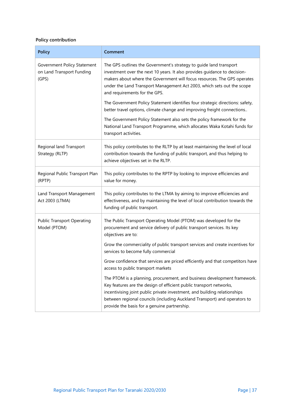### **Policy contribution**

| <b>Policy</b>                                                     | Comment                                                                                                                                                                                                                                                                                                                                                   |
|-------------------------------------------------------------------|-----------------------------------------------------------------------------------------------------------------------------------------------------------------------------------------------------------------------------------------------------------------------------------------------------------------------------------------------------------|
| Government Policy Statement<br>on Land Transport Funding<br>(GPS) | The GPS outlines the Government's strategy to guide land transport<br>investment over the next 10 years. It also provides guidance to decision-<br>makers about where the Government will focus resources. The GPS operates<br>under the Land Transport Management Act 2003, which sets out the scope<br>and requirements for the GPS.                    |
|                                                                   | The Government Policy Statement identifies four strategic directions: safety,<br>better travel options, climate change and improving freight connections                                                                                                                                                                                                  |
|                                                                   | The Government Policy Statement also sets the policy framework for the<br>National Land Transport Programme, which allocates Waka Kotahi funds for<br>transport activities.                                                                                                                                                                               |
| Regional land Transport<br>Strategy (RLTP)                        | This policy contributes to the RLTP by at least maintaining the level of local<br>contribution towards the funding of public transport, and thus helping to<br>achieve objectives set in the RLTP.                                                                                                                                                        |
| Regional Public Transport Plan<br>(RPTP)                          | This policy contributes to the RPTP by looking to improve efficiencies and<br>value for money.                                                                                                                                                                                                                                                            |
| Land Transport Management<br>Act 2003 (LTMA)                      | This policy contributes to the LTMA by aiming to improve efficiencies and<br>effectiveness, and by maintaining the level of local contribution towards the<br>funding of public transport.                                                                                                                                                                |
| <b>Public Transport Operating</b><br>Model (PTOM)                 | The Public Transport Operating Model (PTOM) was developed for the<br>procurement and service delivery of public transport services. Its key<br>objectives are to:                                                                                                                                                                                         |
|                                                                   | Grow the commerciality of public transport services and create incentives for<br>services to become fully commercial                                                                                                                                                                                                                                      |
|                                                                   | Grow confidence that services are priced efficiently and that competitors have<br>access to public transport markets                                                                                                                                                                                                                                      |
|                                                                   | The PTOM is a planning, procurement, and business development framework.<br>Key features are the design of efficient public transport networks,<br>incentivising joint public private investment, and building relationships<br>between regional councils (including Auckland Transport) and operators to<br>provide the basis for a genuine partnership. |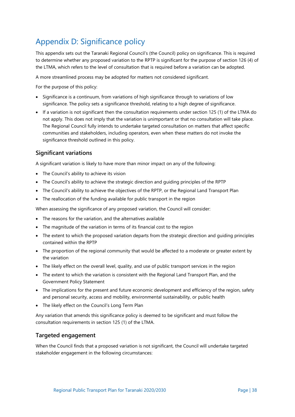# <span id="page-44-0"></span>Appendix D: Significance policy

This appendix sets out the Taranaki Regional Council's (the Council) policy on significance. This is required to determine whether any proposed variation to the RPTP is significant for the purpose of section 126 (4) of the LTMA, which refers to the level of consultation that is required before a variation can be adopted.

A more streamlined process may be adopted for matters not considered significant.

For the purpose of this policy:

- Significance is a continuum, from variations of high significance through to variations of low significance. The policy sets a significance threshold, relating to a high degree of significance.
- If a variation is not significant then the consultation requirements under section 125 (1) of the LTMA do not apply. This does not imply that the variation is unimportant or that no consultation will take place. The Regional Council fully intends to undertake targeted consultation on matters that affect specific communities and stakeholders, including operators, even when these matters do not invoke the significance threshold outlined in this policy.

#### **Significant variations**

A significant variation is likely to have more than minor impact on any of the following:

- The Council's ability to achieve its vision
- The Council's ability to achieve the strategic direction and guiding principles of the RPTP
- The Council's ability to achieve the objectives of the RPTP, or the Regional Land Transport Plan
- The reallocation of the funding available for public transport in the region

When assessing the significance of any proposed variation, the Council will consider:

- The reasons for the variation, and the alternatives available
- The magnitude of the variation in terms of its financial cost to the region
- The extent to which the proposed variation departs from the strategic direction and guiding principles contained within the RPTP
- The proportion of the regional community that would be affected to a moderate or greater extent by the variation
- The likely effect on the overall level, quality, and use of public transport services in the region
- The extent to which the variation is consistent with the Regional Land Transport Plan, and the Government Policy Statement
- The implications for the present and future economic development and efficiency of the region, safety and personal security, access and mobility, environmental sustainability, or public health
- The likely effect on the Council's Long Term Plan

Any variation that amends this significance policy is deemed to be significant and must follow the consultation requirements in section 125 (1) of the LTMA.

#### **Targeted engagement**

When the Council finds that a proposed variation is not significant, the Council will undertake targeted stakeholder engagement in the following circumstances: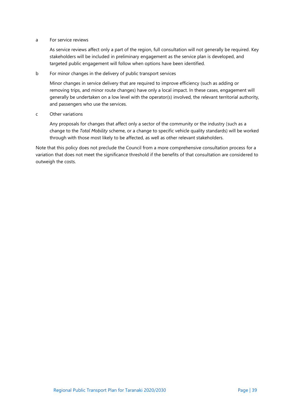#### a For service reviews

As service reviews affect only a part of the region, full consultation will not generally be required. Key stakeholders will be included in preliminary engagement as the service plan is developed, and targeted public engagement will follow when options have been identified.

#### b For minor changes in the delivery of public transport services

Minor changes in service delivery that are required to improve efficiency (such as adding or removing trips, and minor route changes) have only a local impact. In these cases, engagement will generally be undertaken on a low level with the operator(s) involved, the relevant territorial authority, and passengers who use the services.

#### c Other variations

Any proposals for changes that affect only a sector of the community or the industry (such as a change to the *Total Mobility* scheme, or a change to specific vehicle quality standards) will be worked through with those most likely to be affected, as well as other relevant stakeholders.

Note that this policy does not preclude the Council from a more comprehensive consultation process for a variation that does not meet the significance threshold if the benefits of that consultation are considered to outweigh the costs.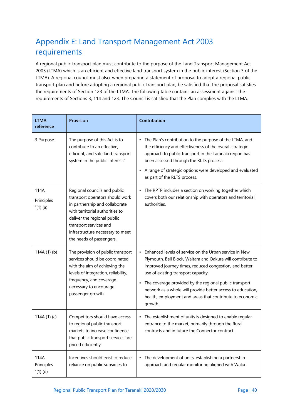# <span id="page-46-0"></span>Appendix E: Land Transport Management Act 2003 requirements

A regional public transport plan must contribute to the purpose of the Land Transport Management Act 2003 (LTMA) which is an efficient and effective land transport system in the public interest (Section 3 of the LTMA). A regional council must also, when preparing a statement of proposal to adopt a regional public transport plan and before adopting a regional public transport plan, be satisfied that the proposal satisfies the requirements of Section 123 of the LTMA. The following table contains an assessment against the requirements of Sections 3, 114 and 123. The Council is satisfied that the Plan complies with the LTMA.

| <b>LTMA</b><br>reference          | <b>Provision</b>                                                                                                                                                                                                                                              | Contribution                                                                                                                                                                                                                                                                                                                                                                                                                                  |
|-----------------------------------|---------------------------------------------------------------------------------------------------------------------------------------------------------------------------------------------------------------------------------------------------------------|-----------------------------------------------------------------------------------------------------------------------------------------------------------------------------------------------------------------------------------------------------------------------------------------------------------------------------------------------------------------------------------------------------------------------------------------------|
| 3 Purpose                         | The purpose of this Act is to<br>contribute to an effective,<br>efficient, and safe land transport<br>system in the public interest."                                                                                                                         | The Plan's contribution to the purpose of the LTMA, and<br>٠<br>the efficiency and effectiveness of the overall strategic<br>approach to public transport in the Taranaki region has<br>been assessed through the RLTS process.<br>A range of strategic options were developed and evaluated<br>as part of the RLTS process.                                                                                                                  |
| 114A<br>Principles<br>$''(1)$ (a) | Regional councils and public<br>transport operators should work<br>in partnership and collaborate<br>with territorial authorities to<br>deliver the regional public<br>transport services and<br>infrastructure necessary to meet<br>the needs of passengers. | The RPTP includes a section on working together which<br>٠<br>covers both our relationship with operators and territorial<br>authorities.                                                                                                                                                                                                                                                                                                     |
| 114A $(1)$ $(b)$                  | The provision of public transport<br>services should be coordinated<br>with the aim of achieving the<br>levels of integration, reliability,<br>frequency, and coverage<br>necessary to encourage<br>passenger growth.                                         | Enhanced levels of service on the Urban service in New<br>$\blacksquare$<br>Plymouth, Bell Block, Waitara and Ōakura will contribute to<br>improved journey times, reduced congestion, and better<br>use of existing transport capacity.<br>The coverage provided by the regional public transport<br>٠<br>network as a whole will provide better access to education,<br>health, employment and areas that contribute to economic<br>growth. |
| 114A $(1)(c)$                     | Competitors should have access<br>to regional public transport<br>markets to increase confidence<br>that public transport services are<br>priced efficiently.                                                                                                 | • The establishment of units is designed to enable regular<br>entrance to the market, primarily through the Rural<br>contracts and in future the Connector contract.                                                                                                                                                                                                                                                                          |
| 114A<br>Principles<br>$''(1)$ (d) | Incentives should exist to reduce<br>reliance on public subsidies to                                                                                                                                                                                          | The development of units, establishing a partnership<br>٠<br>approach and regular monitoring aligned with Waka                                                                                                                                                                                                                                                                                                                                |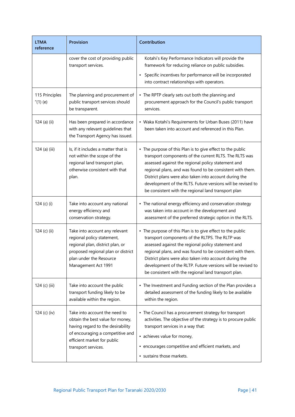| <b>LTMA</b><br>reference      | <b>Provision</b>                                                                                                                                                                                 | Contribution                                                                                                                                                                                                                                                                                                                                                                                                            |
|-------------------------------|--------------------------------------------------------------------------------------------------------------------------------------------------------------------------------------------------|-------------------------------------------------------------------------------------------------------------------------------------------------------------------------------------------------------------------------------------------------------------------------------------------------------------------------------------------------------------------------------------------------------------------------|
|                               | cover the cost of providing public<br>transport services.                                                                                                                                        | Kotahi's Key Performance Indicators will provide the<br>framework for reducing reliance on public subsidies.<br>Specific incentives for performance will be incorporated<br>into contract relationships with operators.                                                                                                                                                                                                 |
| 115 Principles<br>$''(1)$ (e) | The planning and procurement of<br>public transport services should<br>be transparent.                                                                                                           | • The RPTP clearly sets out both the planning and<br>procurement approach for the Council's public transport<br>services.                                                                                                                                                                                                                                                                                               |
| 124 (a) (ii)                  | Has been prepared in accordance<br>with any relevant guidelines that<br>the Transport Agency has issued.                                                                                         | • Waka Kotahi's Requirements for Urban Buses (2011) have<br>been taken into account and referenced in this Plan.                                                                                                                                                                                                                                                                                                        |
| 124 (a) (iii)                 | Is, if it includes a matter that is<br>not within the scope of the<br>regional land transport plan,<br>otherwise consistent with that<br>plan.                                                   | • The purpose of this Plan is to give effect to the public<br>transport components of the current RLTS. The RLTS was<br>assessed against the regional policy statement and<br>regional plans, and was found to be consistent with them.<br>District plans were also taken into account during the<br>development of the RLTS. Future versions will be revised to<br>be consistent with the regional land transport plan |
| 124 (c) (i)                   | Take into account any national<br>energy efficiency and<br>conservation strategy.                                                                                                                | • The national energy efficiency and conservation strategy<br>was taken into account in the development and<br>assessment of the preferred strategic option in the RLTS.                                                                                                                                                                                                                                                |
| 124 (c) (ii)                  | Take into account any relevant<br>regional policy statement,<br>regional plan, district plan, or<br>proposed regional plan or district<br>plan under the Resource<br>Management Act 1991         | • The purpose of this Plan is to give effect to the public<br>transport components of the RLTPS. The RLTP was<br>assessed against the regional policy statement and<br>regional plans, and was found to be consistent with them.<br>District plans were also taken into account during the<br>development of the RLTP. Future versions will be revised to<br>be consistent with the regional land transport plan.       |
| 124 (c) (iii)                 | Take into account the public<br>transport funding likely to be<br>available within the region.                                                                                                   | • The Investment and Funding section of the Plan provides a<br>detailed assessment of the funding likely to be available<br>within the region.                                                                                                                                                                                                                                                                          |
| 124 (c) (iv)                  | Take into account the need to<br>obtain the best value for money,<br>having regard to the desirability<br>of encouraging a competitive and<br>efficient market for public<br>transport services. | • The Council has a procurement strategy for transport<br>activities. The objective of the strategy is to procure public<br>transport services in a way that:<br>• achieves value for money,<br>• encourages competitive and efficient markets, and<br>· sustains those markets.                                                                                                                                        |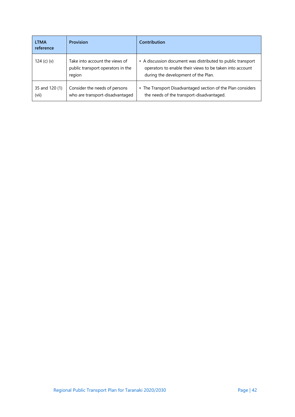| <b>LTMA</b><br>reference | <b>Provision</b>                                                              | <b>Contribution</b>                                                                                                                                            |
|--------------------------|-------------------------------------------------------------------------------|----------------------------------------------------------------------------------------------------------------------------------------------------------------|
| 124 $(c)$ $(v)$          | Take into account the views of<br>public transport operators in the<br>region | • A discussion document was distributed to public transport<br>operators to enable their views to be taken into account<br>during the development of the Plan. |
| 35 and 120 (1)<br>(vii)  | Consider the needs of persons<br>who are transport-disadvantaged              | • The Transport Disadvantaged section of the Plan considers<br>the needs of the transport-disadvantaged.                                                       |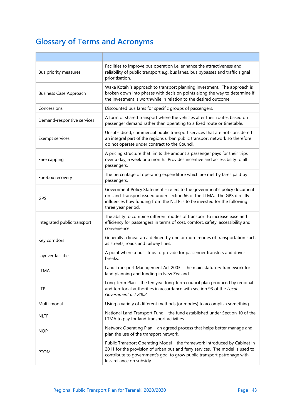# **Glossary of Terms and Acronyms**

| Bus priority measures         | Facilities to improve bus operation i.e. enhance the attractiveness and<br>reliability of public transport e.g. bus lanes, bus bypasses and traffic signal<br>prioritisation.                                                                                     |
|-------------------------------|-------------------------------------------------------------------------------------------------------------------------------------------------------------------------------------------------------------------------------------------------------------------|
| <b>Business Case Approach</b> | Waka Kotahi's approach to transport planning investment. The approach is<br>broken down into phases with decision points along the way to determine if<br>the investment is worthwhile in relation to the desired outcome.                                        |
| Concessions                   | Discounted bus fares for specific groups of passengers.                                                                                                                                                                                                           |
| Demand-responsive services    | A form of shared transport where the vehicles alter their routes based on<br>passenger demand rather than operating to a fixed route or timetable.                                                                                                                |
| Exempt services               | Unsubsidised, commercial public transport services that are not considered<br>an integral part of the regions urban public transport network so therefore<br>do not operate under contract to the Council.                                                        |
| Fare capping                  | A pricing structure that limits the amount a passenger pays for their trips<br>over a day, a week or a month. Provides incentive and accessibility to all<br>passengers.                                                                                          |
| Farebox recovery              | The percentage of operating expenditure which are met by fares paid by<br>passengers.                                                                                                                                                                             |
| <b>GPS</b>                    | Government Policy Statement - refers to the government's policy document<br>on Land Transport issued under section 66 of the LTMA. The GPS directly<br>influences how funding from the NLTF is to be invested for the following<br>three year period.             |
| Integrated public transport   | The ability to combine different modes of transport to increase ease and<br>efficiency for passengers in terms of cost, comfort, safety, accessibility and<br>convenience.                                                                                        |
| Key corridors                 | Generally a linear area defined by one or more modes of transportation such<br>as streets, roads and railway lines.                                                                                                                                               |
| Layover facilities            | A point where a bus stops to provide for passenger transfers and driver<br>breaks.                                                                                                                                                                                |
| LTMA                          | Land Transport Management Act 2003 - the main statutory framework for<br>land planning and funding in New Zealand.                                                                                                                                                |
| <b>LTP</b>                    | Long Term Plan - the ten year long-term council plan produced by regional<br>and territorial authorities in accordance with section 93 of the Local<br>Government act 2002.                                                                                       |
| Multi-modal                   | Using a variety of different methods (or modes) to accomplish something.                                                                                                                                                                                          |
| NLTF                          | National Land Transport Fund - the fund established under Section 10 of the<br>LTMA to pay for land transport activities.                                                                                                                                         |
| <b>NOP</b>                    | Network Operating Plan - an agreed process that helps better manage and<br>plan the use of the transport network.                                                                                                                                                 |
| <b>PTOM</b>                   | Public Transport Operating Model - the framework introduced by Cabinet in<br>2011 for the provision of urban bus and ferry services. The model is used to<br>contribute to government's goal to grow public transport patronage with<br>less reliance on subsidy. |